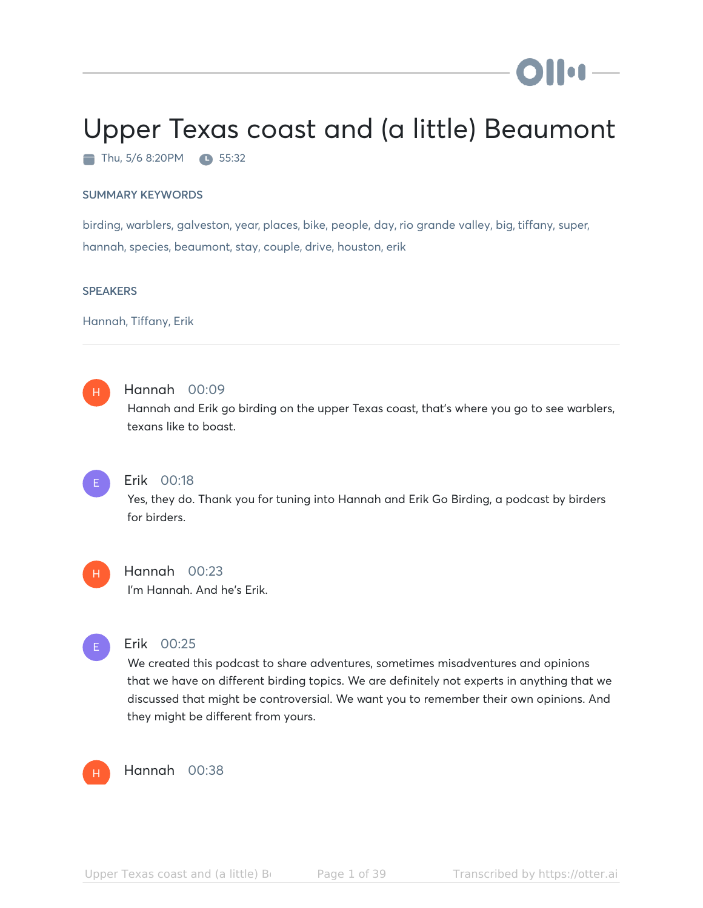# Upper Texas coast and (a little) Beaumont

Thu, 5/6 8:20PM **1 55:32** 

#### SUMMARY KEYWORDS

birding, warblers, galveston, year, places, bike, people, day, rio grande valley, big, tiffany, super, hannah, species, beaumont, stay, couple, drive, houston, erik

#### **SPEAKERS**

Hannah, Tiffany, Erik

## H

#### Hannah 00:09

Hannah and Erik go birding on the upper Texas coast, that's where you go to see warblers, texans like to boast.



#### Erik 00:18

Yes, they do. Thank you for tuning into Hannah and Erik Go Birding, a podcast by birders for birders.



#### Hannah 00:23

I'm Hannah. And he's Erik.



#### Erik 00:25

We created this podcast to share adventures, sometimes misadventures and opinions that we have on different birding topics. We are definitely not experts in anything that we discussed that might be controversial. We want you to remember their own opinions. And they might be different from yours.



Hannah 00:38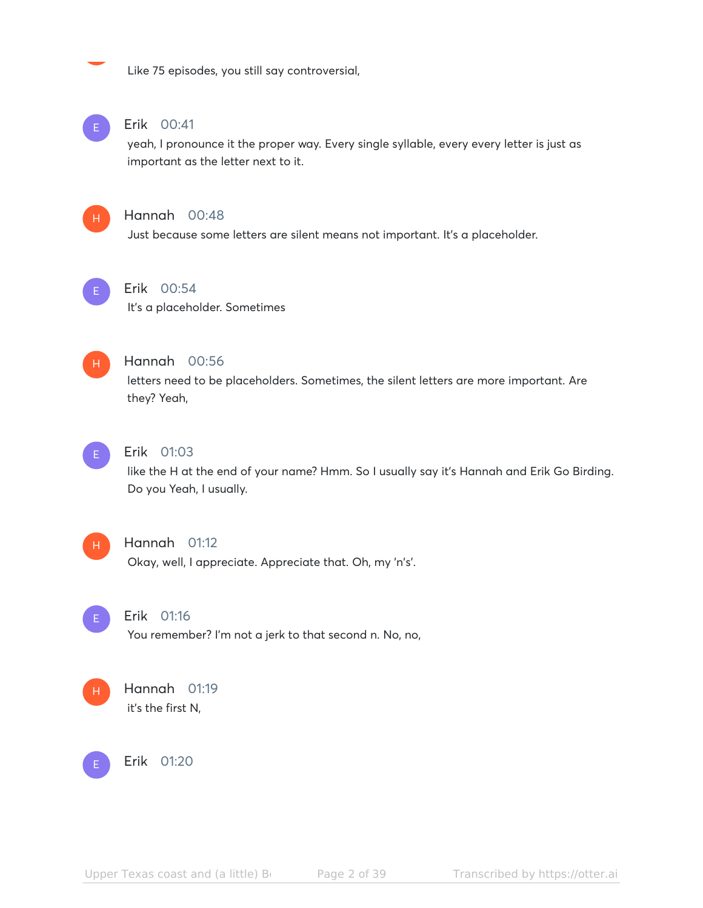Like 75 episodes, you still say controversial,



#### Erik 00:41

yeah, I pronounce it the proper way. Every single syllable, every every letter is just as important as the letter next to it.



#### Hannah 00:48

Just because some letters are silent means not important. It's a placeholder.



#### Erik 00:54

It's a placeholder. Sometimes



### Hannah 00:56

letters need to be placeholders. Sometimes, the silent letters are more important. Are they? Yeah,



#### Erik 01:03

like the H at the end of your name? Hmm. So I usually say it's Hannah and Erik Go Birding. Do you Yeah, I usually.



#### Hannah 01:12

Okay, well, I appreciate. Appreciate that. Oh, my 'n's'.



#### Erik 01:16

You remember? I'm not a jerk to that second n. No, no,



## Hannah 01:19 it's the first N,

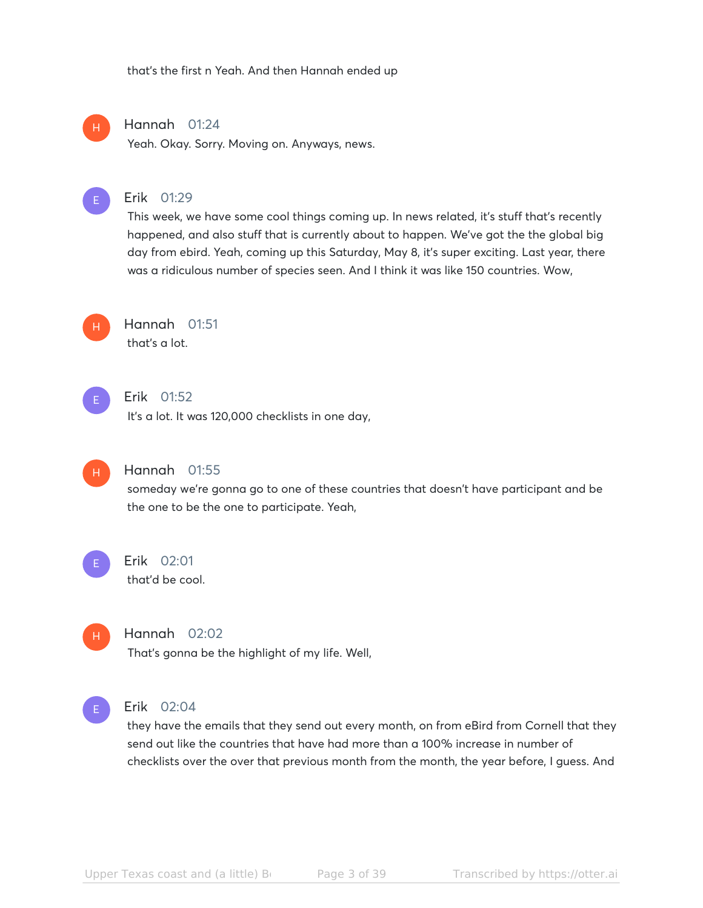that's the first n Yeah. And then Hannah ended up

#### Hannah 01:24

Yeah. Okay. Sorry. Moving on. Anyways, news.

#### Erik 01:29

This week, we have some cool things coming up. In news related, it's stuff that's recently happened, and also stuff that is currently about to happen. We've got the the global big day from ebird. Yeah, coming up this Saturday, May 8, it's super exciting. Last year, there was a ridiculous number of species seen. And I think it was like 150 countries. Wow,



H

E

### Hannah 01:51

that's a lot.



#### Erik 01:52

It's a lot. It was 120,000 checklists in one day,



#### Hannah 01:55

someday we're gonna go to one of these countries that doesn't have participant and be the one to be the one to participate. Yeah,



#### Erik 02:01 that'd be cool.



#### Hannah 02:02

That's gonna be the highlight of my life. Well,



#### Erik 02:04

they have the emails that they send out every month, on from eBird from Cornell that they send out like the countries that have had more than a 100% increase in number of checklists over the over that previous month from the month, the year before, I guess. And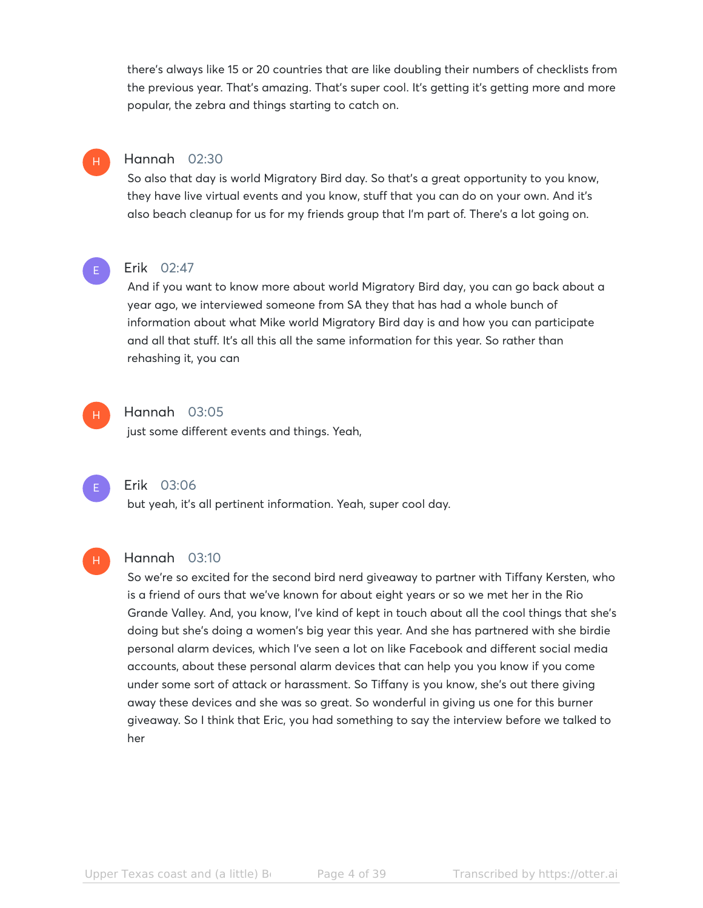there's always like 15 or 20 countries that are like doubling their numbers of checklists from the previous year. That's amazing. That's super cool. It's getting it's getting more and more popular, the zebra and things starting to catch on.

#### Hannah 02:30

So also that day is world Migratory Bird day. So that's a great opportunity to you know, they have live virtual events and you know, stuff that you can do on your own. And it's also beach cleanup for us for my friends group that I'm part of. There's a lot going on.



H

#### Erik 02:47

And if you want to know more about world Migratory Bird day, you can go back about a year ago, we interviewed someone from SA they that has had a whole bunch of information about what Mike world Migratory Bird day is and how you can participate and all that stuff. It's all this all the same information for this year. So rather than rehashing it, you can



#### Hannah 03:05

just some different events and things. Yeah,



### Erik 03:06

but yeah, it's all pertinent information. Yeah, super cool day.

## H

#### Hannah 03:10

So we're so excited for the second bird nerd giveaway to partner with Tiffany Kersten, who is a friend of ours that we've known for about eight years or so we met her in the Rio Grande Valley. And, you know, I've kind of kept in touch about all the cool things that she's doing but she's doing a women's big year this year. And she has partnered with she birdie personal alarm devices, which I've seen a lot on like Facebook and different social media accounts, about these personal alarm devices that can help you you know if you come under some sort of attack or harassment. So Tiffany is you know, she's out there giving away these devices and she was so great. So wonderful in giving us one for this burner giveaway. So I think that Eric, you had something to say the interview before we talked to her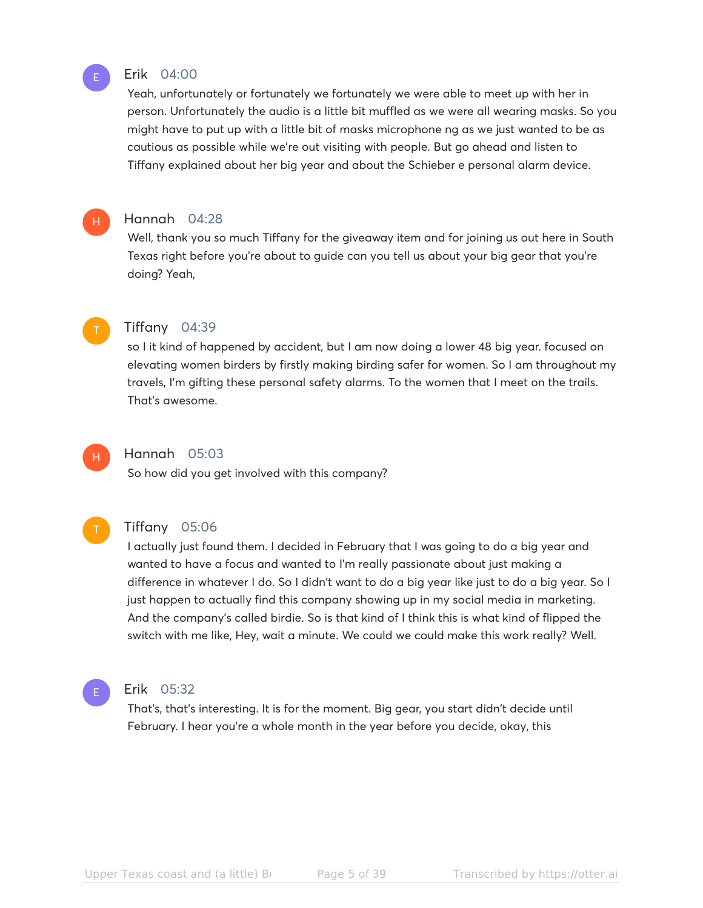#### Erik 04:00

Yeah, unfortunately or fortunately we fortunately we were able to meet up with her in person. Unfortunately the audio is a little bit muffled as we were all wearing masks. So you might have to put up with a little bit of masks microphone ng as we just wanted to be as cautious as possible while we're out visiting with people. But go ahead and listen to Tiffany explained about her big year and about the Schieber e personal alarm device.



#### Hannah 04:28

Well, thank you so much Tiffany for the giveaway item and for joining us out here in South Texas right before you're about to guide can you tell us about your big gear that you're doing? Yeah,



H

E

#### Tiffany 04:39

so I it kind of happened by accident, but I am now doing a lower 48 big year. focused on elevating women birders by firstly making birding safer for women. So I am throughout my travels, I'm gifting these personal safety alarms. To the women that I meet on the trails. That's awesome.



#### Hannah 05:03

So how did you get involved with this company?



#### Tiffany 05:06

I actually just found them. I decided in February that I was going to do a big year and wanted to have a focus and wanted to I'm really passionate about just making a difference in whatever I do. So I didn't want to do a big year like just to do a big year. So I just happen to actually find this company showing up in my social media in marketing. And the company's called birdie. So is that kind of I think this is what kind of flipped the switch with me like, Hey, wait a minute. We could we could make this work really? Well.

#### E

## Erik 05:32

That's, that's interesting. It is for the moment. Big gear, you start didn't decide until February. I hear you're a whole month in the year before you decide, okay, this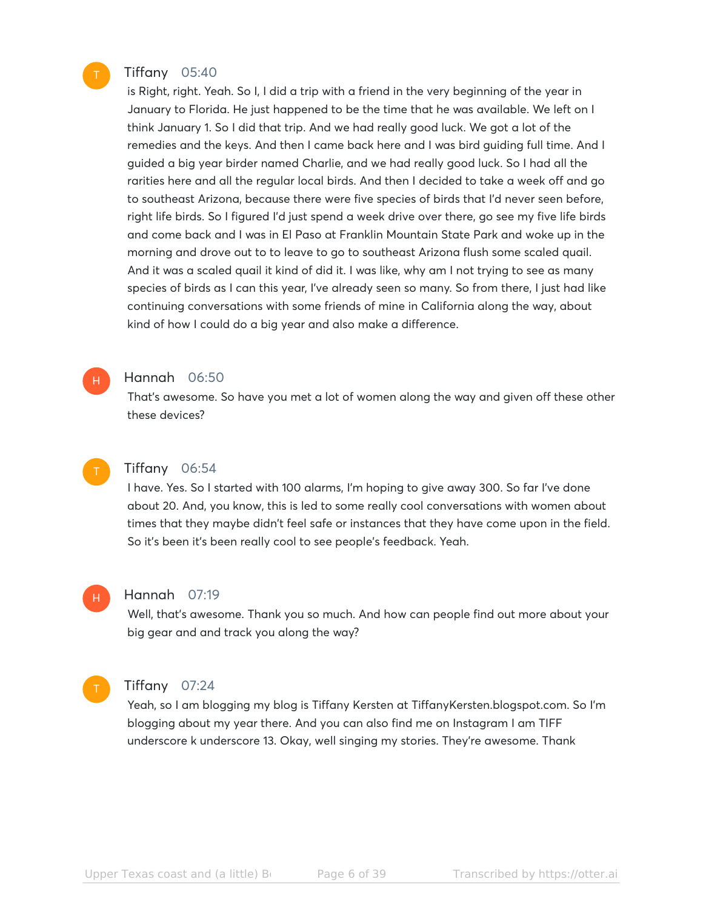#### Tiffany 05:40

T

H

T

H

is Right, right. Yeah. So I, I did a trip with a friend in the very beginning of the year in January to Florida. He just happened to be the time that he was available. We left on I think January 1. So I did that trip. And we had really good luck. We got a lot of the remedies and the keys. And then I came back here and I was bird guiding full time. And I guided a big year birder named Charlie, and we had really good luck. So I had all the rarities here and all the regular local birds. And then I decided to take a week off and go to southeast Arizona, because there were five species of birds that I'd never seen before, right life birds. So I figured I'd just spend a week drive over there, go see my five life birds and come back and I was in El Paso at Franklin Mountain State Park and woke up in the morning and drove out to to leave to go to southeast Arizona flush some scaled quail. And it was a scaled quail it kind of did it. I was like, why am I not trying to see as many species of birds as I can this year, I've already seen so many. So from there, I just had like continuing conversations with some friends of mine in California along the way, about kind of how I could do a big year and also make a difference.

#### Hannah 06:50

That's awesome. So have you met a lot of women along the way and given off these other these devices?

#### Tiffany 06:54

I have. Yes. So I started with 100 alarms, I'm hoping to give away 300. So far I've done about 20. And, you know, this is led to some really cool conversations with women about times that they maybe didn't feel safe or instances that they have come upon in the field. So it's been it's been really cool to see people's feedback. Yeah.

#### Hannah 07:19

Well, that's awesome. Thank you so much. And how can people find out more about your big gear and and track you along the way?

#### Tiffany 07:24

Yeah, so I am blogging my blog is Tiffany Kersten at TiffanyKersten.blogspot.com. So I'm blogging about my year there. And you can also find me on Instagram I am TIFF underscore k underscore 13. Okay, well singing my stories. They're awesome. Thank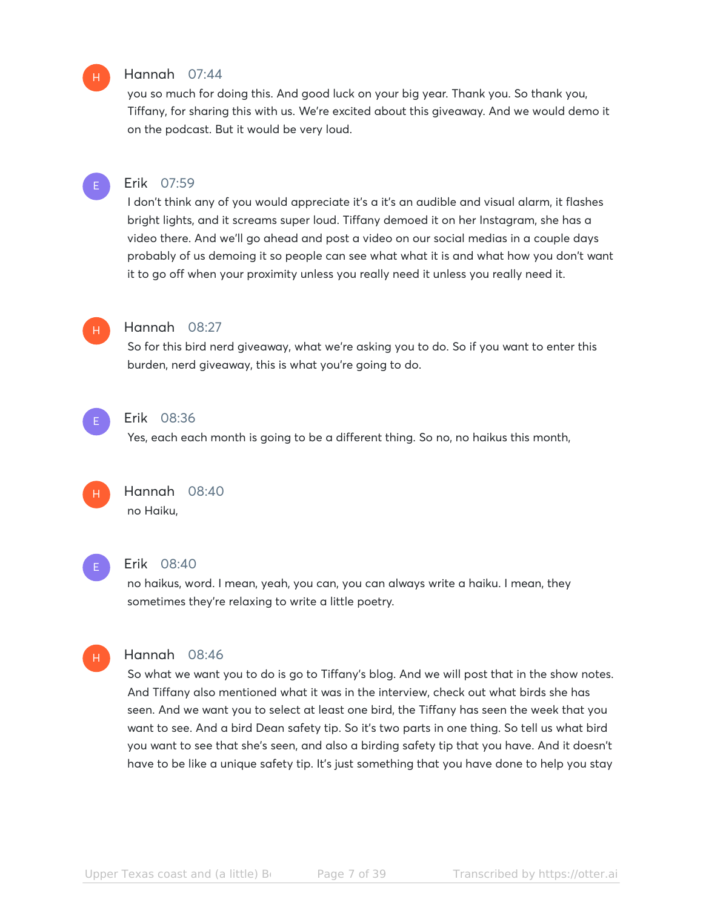#### Hannah 07:44

you so much for doing this. And good luck on your big year. Thank you. So thank you, Tiffany, for sharing this with us. We're excited about this giveaway. And we would demo it on the podcast. But it would be very loud.



H

#### Erik 07:59

I don't think any of you would appreciate it's a it's an audible and visual alarm, it flashes bright lights, and it screams super loud. Tiffany demoed it on her Instagram, she has a video there. And we'll go ahead and post a video on our social medias in a couple days probably of us demoing it so people can see what what it is and what how you don't want it to go off when your proximity unless you really need it unless you really need it.



#### Hannah 08:27

So for this bird nerd giveaway, what we're asking you to do. So if you want to enter this burden, nerd giveaway, this is what you're going to do.



#### Erik 08:36

Yes, each each month is going to be a different thing. So no, no haikus this month,



#### Hannah 08:40 no Haiku,



H

#### Erik 08:40

no haikus, word. I mean, yeah, you can, you can always write a haiku. I mean, they sometimes they're relaxing to write a little poetry.

#### Hannah 08:46

So what we want you to do is go to Tiffany's blog. And we will post that in the show notes. And Tiffany also mentioned what it was in the interview, check out what birds she has seen. And we want you to select at least one bird, the Tiffany has seen the week that you want to see. And a bird Dean safety tip. So it's two parts in one thing. So tell us what bird you want to see that she's seen, and also a birding safety tip that you have. And it doesn't have to be like a unique safety tip. It's just something that you have done to help you stay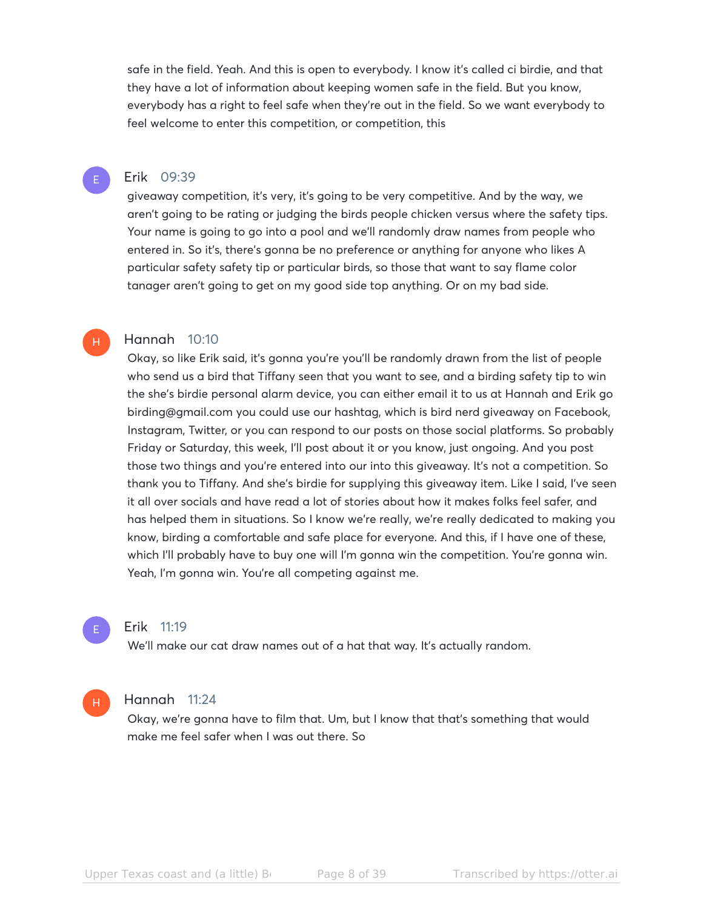safe in the field. Yeah. And this is open to everybody. I know it's called ci birdie, and that they have a lot of information about keeping women safe in the field. But you know, everybody has a right to feel safe when they're out in the field. So we want everybody to feel welcome to enter this competition, or competition, this

#### Erik 09:39

E

H

giveaway competition, it's very, it's going to be very competitive. And by the way, we aren't going to be rating or judging the birds people chicken versus where the safety tips. Your name is going to go into a pool and we'll randomly draw names from people who entered in. So it's, there's gonna be no preference or anything for anyone who likes A particular safety safety tip or particular birds, so those that want to say flame color tanager aren't going to get on my good side top anything. Or on my bad side.

#### Hannah 10:10

Okay, so like Erik said, it's gonna you're you'll be randomly drawn from the list of people who send us a bird that Tiffany seen that you want to see, and a birding safety tip to win the she's birdie personal alarm device, you can either email it to us at Hannah and Erik go birding@gmail.com you could use our hashtag, which is bird nerd giveaway on Facebook, Instagram, Twitter, or you can respond to our posts on those social platforms. So probably Friday or Saturday, this week, I'll post about it or you know, just ongoing. And you post those two things and you're entered into our into this giveaway. It's not a competition. So thank you to Tiffany. And she's birdie for supplying this giveaway item. Like I said, I've seen it all over socials and have read a lot of stories about how it makes folks feel safer, and has helped them in situations. So I know we're really, we're really dedicated to making you know, birding a comfortable and safe place for everyone. And this, if I have one of these, which I'll probably have to buy one will I'm gonna win the competition. You're gonna win. Yeah, I'm gonna win. You're all competing against me.



H

#### Erik 11:19

We'll make our cat draw names out of a hat that way. It's actually random.

#### Hannah 11:24

Okay, we're gonna have to film that. Um, but I know that that's something that would make me feel safer when I was out there. So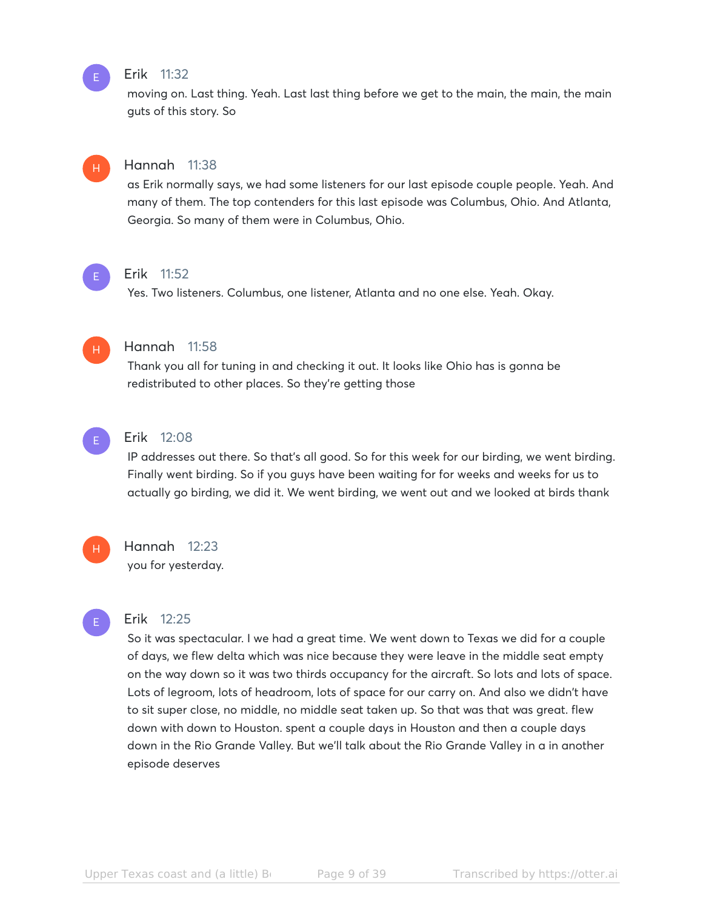#### Erik 11:32

moving on. Last thing. Yeah. Last last thing before we get to the main, the main, the main guts of this story. So

#### Hannah 11:38

as Erik normally says, we had some listeners for our last episode couple people. Yeah. And many of them. The top contenders for this last episode was Columbus, Ohio. And Atlanta, Georgia. So many of them were in Columbus, Ohio.



E

H

#### Erik 11:52

Yes. Two listeners. Columbus, one listener, Atlanta and no one else. Yeah. Okay.



#### Hannah 11:58

Thank you all for tuning in and checking it out. It looks like Ohio has is gonna be redistributed to other places. So they're getting those



#### Erik 12:08

IP addresses out there. So that's all good. So for this week for our birding, we went birding. Finally went birding. So if you guys have been waiting for for weeks and weeks for us to actually go birding, we did it. We went birding, we went out and we looked at birds thank



E

#### Hannah 12:23

you for yesterday.

#### Erik 12:25

So it was spectacular. I we had a great time. We went down to Texas we did for a couple of days, we flew delta which was nice because they were leave in the middle seat empty on the way down so it was two thirds occupancy for the aircraft. So lots and lots of space. Lots of legroom, lots of headroom, lots of space for our carry on. And also we didn't have to sit super close, no middle, no middle seat taken up. So that was that was great. flew down with down to Houston. spent a couple days in Houston and then a couple days down in the Rio Grande Valley. But we'll talk about the Rio Grande Valley in a in another episode deserves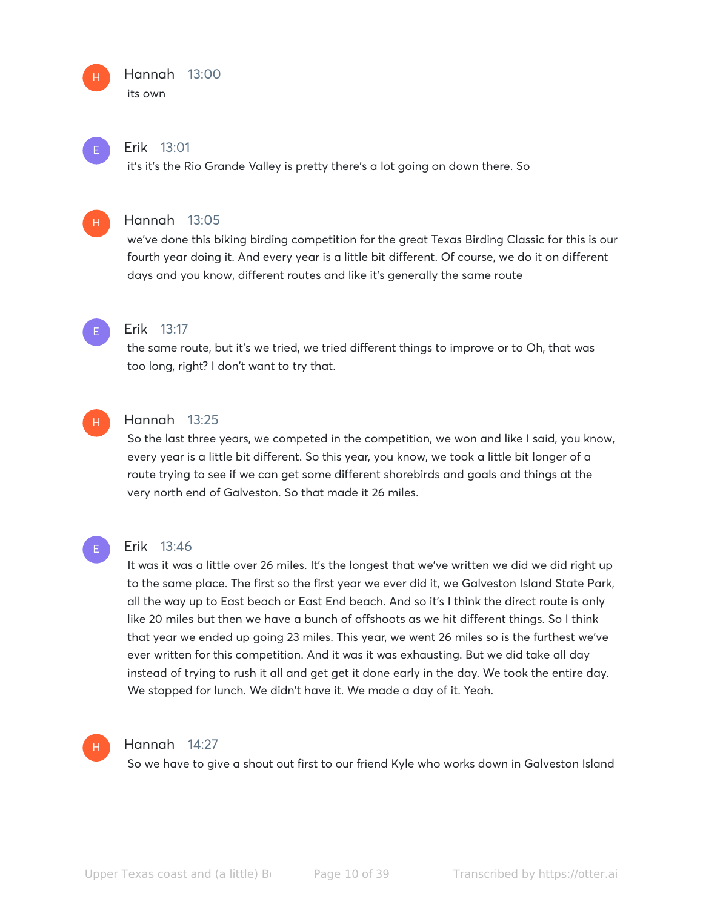its own

#### Erik 13:01

it's it's the Rio Grande Valley is pretty there's a lot going on down there. So



H

E

#### Hannah 13:05

we've done this biking birding competition for the great Texas Birding Classic for this is our fourth year doing it. And every year is a little bit different. Of course, we do it on different days and you know, different routes and like it's generally the same route



#### Erik 13:17

the same route, but it's we tried, we tried different things to improve or to Oh, that was too long, right? I don't want to try that.

#### Hannah 13:25 H

So the last three years, we competed in the competition, we won and like I said, you know, every year is a little bit different. So this year, you know, we took a little bit longer of a route trying to see if we can get some different shorebirds and goals and things at the very north end of Galveston. So that made it 26 miles.

## E

#### Erik 13:46

It was it was a little over 26 miles. It's the longest that we've written we did we did right up to the same place. The first so the first year we ever did it, we Galveston Island State Park, all the way up to East beach or East End beach. And so it's I think the direct route is only like 20 miles but then we have a bunch of offshoots as we hit different things. So I think that year we ended up going 23 miles. This year, we went 26 miles so is the furthest we've ever written for this competition. And it was it was exhausting. But we did take all day instead of trying to rush it all and get get it done early in the day. We took the entire day. We stopped for lunch. We didn't have it. We made a day of it. Yeah.



#### Hannah 14:27

So we have to give a shout out first to our friend Kyle who works down in Galveston Island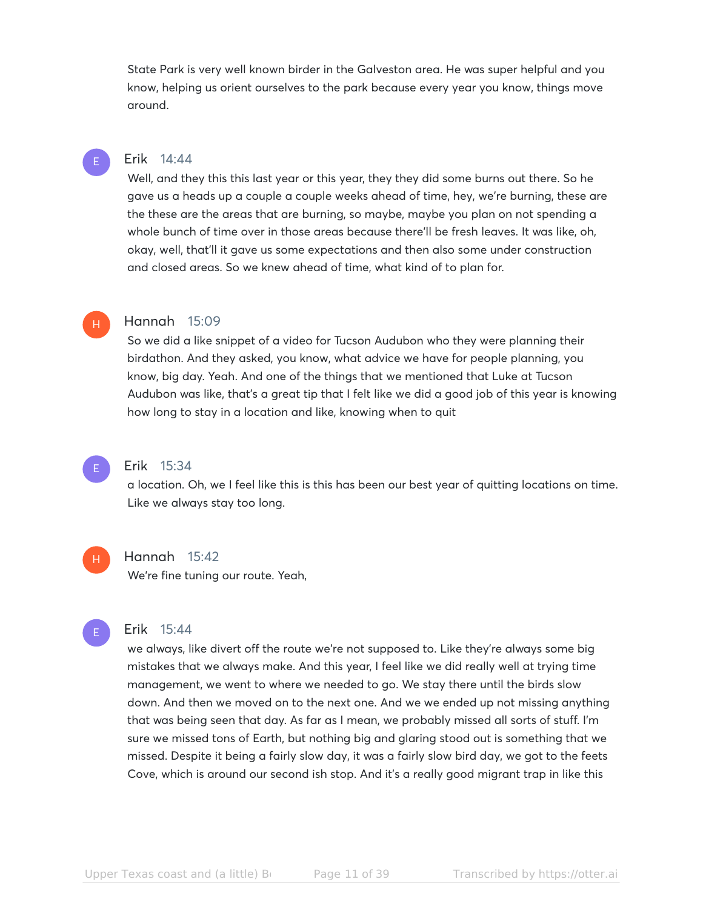State Park is very well known birder in the Galveston area. He was super helpful and you know, helping us orient ourselves to the park because every year you know, things move around.

#### Erik 14:44

E

H

E

E

Well, and they this this last year or this year, they they did some burns out there. So he gave us a heads up a couple a couple weeks ahead of time, hey, we're burning, these are the these are the areas that are burning, so maybe, maybe you plan on not spending a whole bunch of time over in those areas because there'll be fresh leaves. It was like, oh, okay, well, that'll it gave us some expectations and then also some under construction and closed areas. So we knew ahead of time, what kind of to plan for.

#### Hannah 15:09

So we did a like snippet of a video for Tucson Audubon who they were planning their birdathon. And they asked, you know, what advice we have for people planning, you know, big day. Yeah. And one of the things that we mentioned that Luke at Tucson Audubon was like, that's a great tip that I felt like we did a good job of this year is knowing how long to stay in a location and like, knowing when to quit

#### Erik 15:34

a location. Oh, we I feel like this is this has been our best year of quitting locations on time. Like we always stay too long.

#### Hannah 15:42 H

We're fine tuning our route. Yeah,

#### Erik 15:44

we always, like divert off the route we're not supposed to. Like they're always some big mistakes that we always make. And this year, I feel like we did really well at trying time management, we went to where we needed to go. We stay there until the birds slow down. And then we moved on to the next one. And we we ended up not missing anything that was being seen that day. As far as I mean, we probably missed all sorts of stuff. I'm sure we missed tons of Earth, but nothing big and glaring stood out is something that we missed. Despite it being a fairly slow day, it was a fairly slow bird day, we got to the feets Cove, which is around our second ish stop. And it's a really good migrant trap in like this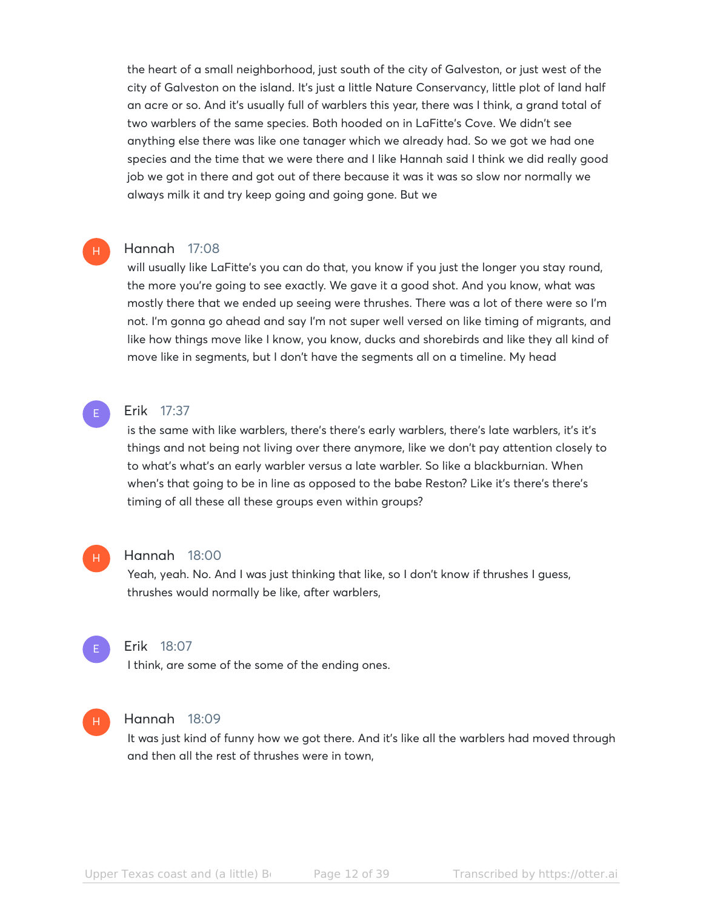the heart of a small neighborhood, just south of the city of Galveston, or just west of the city of Galveston on the island. It's just a little Nature Conservancy, little plot of land half an acre or so. And it's usually full of warblers this year, there was I think, a grand total of two warblers of the same species. Both hooded on in LaFitte's Cove. We didn't see anything else there was like one tanager which we already had. So we got we had one species and the time that we were there and I like Hannah said I think we did really good job we got in there and got out of there because it was it was so slow nor normally we always milk it and try keep going and going gone. But we

#### Hannah 17:08

will usually like LaFitte's you can do that, you know if you just the longer you stay round, the more you're going to see exactly. We gave it a good shot. And you know, what was mostly there that we ended up seeing were thrushes. There was a lot of there were so I'm not. I'm gonna go ahead and say I'm not super well versed on like timing of migrants, and like how things move like I know, you know, ducks and shorebirds and like they all kind of move like in segments, but I don't have the segments all on a timeline. My head



H

#### Erik 17:37

is the same with like warblers, there's there's early warblers, there's late warblers, it's it's things and not being not living over there anymore, like we don't pay attention closely to to what's what's an early warbler versus a late warbler. So like a blackburnian. When when's that going to be in line as opposed to the babe Reston? Like it's there's there's timing of all these all these groups even within groups?

### H

#### Hannah 18:00

Yeah, yeah. No. And I was just thinking that like, so I don't know if thrushes I guess, thrushes would normally be like, after warblers,



#### Erik 18:07

I think, are some of the some of the ending ones.

#### $H$

#### Hannah 18:09

It was just kind of funny how we got there. And it's like all the warblers had moved through and then all the rest of thrushes were in town,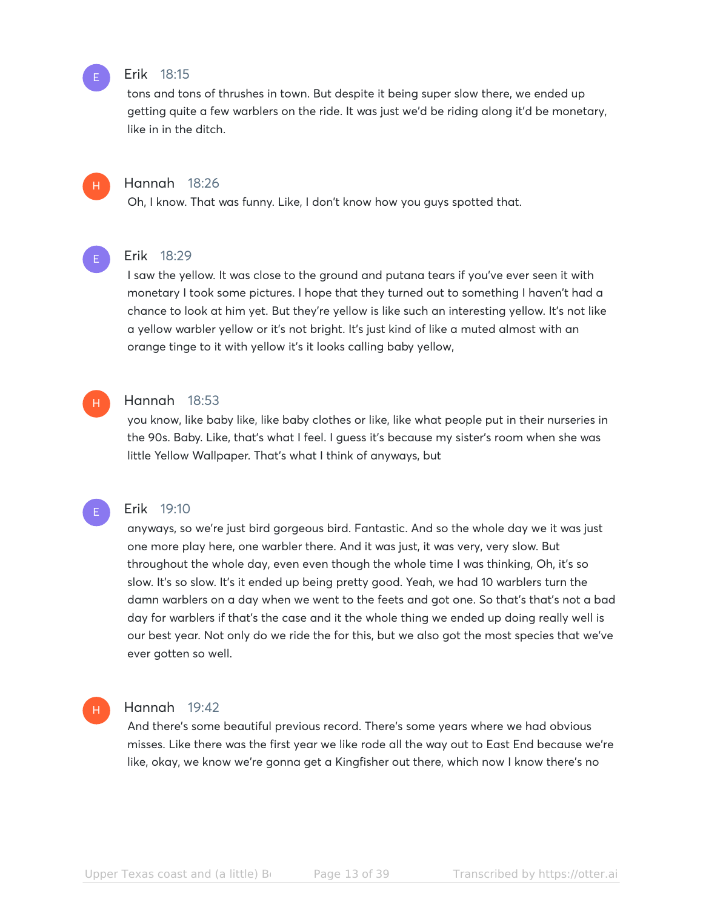

#### Erik 18:15

tons and tons of thrushes in town. But despite it being super slow there, we ended up getting quite a few warblers on the ride. It was just we'd be riding along it'd be monetary, like in in the ditch.



#### Hannah 18:26

Oh, I know. That was funny. Like, I don't know how you guys spotted that.



H

E

#### Erik 18:29

I saw the yellow. It was close to the ground and putana tears if you've ever seen it with monetary I took some pictures. I hope that they turned out to something I haven't had a chance to look at him yet. But they're yellow is like such an interesting yellow. It's not like a yellow warbler yellow or it's not bright. It's just kind of like a muted almost with an orange tinge to it with yellow it's it looks calling baby yellow,

#### Hannah 18:53

you know, like baby like, like baby clothes or like, like what people put in their nurseries in the 90s. Baby. Like, that's what I feel. I guess it's because my sister's room when she was little Yellow Wallpaper. That's what I think of anyways, but

#### Erik 19:10

anyways, so we're just bird gorgeous bird. Fantastic. And so the whole day we it was just one more play here, one warbler there. And it was just, it was very, very slow. But throughout the whole day, even even though the whole time I was thinking, Oh, it's so slow. It's so slow. It's it ended up being pretty good. Yeah, we had 10 warblers turn the damn warblers on a day when we went to the feets and got one. So that's that's not a bad day for warblers if that's the case and it the whole thing we ended up doing really well is our best year. Not only do we ride the for this, but we also got the most species that we've ever gotten so well.

#### H

Hannah 19:42

And there's some beautiful previous record. There's some years where we had obvious misses. Like there was the first year we like rode all the way out to East End because we're like, okay, we know we're gonna get a Kingfisher out there, which now I know there's no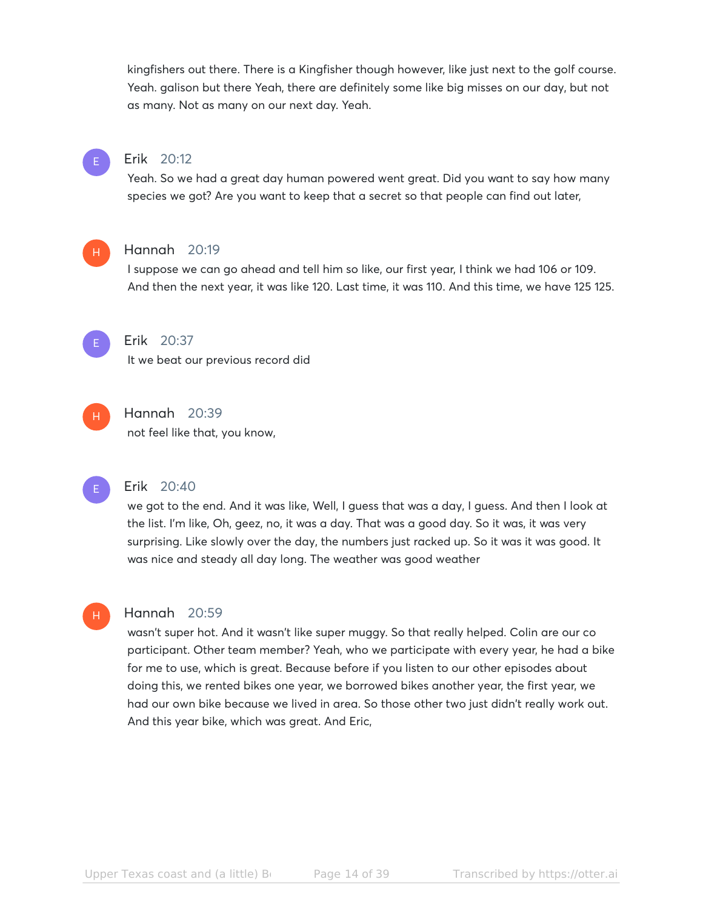kingfishers out there. There is a Kingfisher though however, like just next to the golf course. Yeah. galison but there Yeah, there are definitely some like big misses on our day, but not as many. Not as many on our next day. Yeah.

## E

### Erik 20:12

Yeah. So we had a great day human powered went great. Did you want to say how many species we got? Are you want to keep that a secret so that people can find out later,



#### Hannah 20:19

I suppose we can go ahead and tell him so like, our first year, I think we had 106 or 109. And then the next year, it was like 120. Last time, it was 110. And this time, we have 125 125.



#### Erik 20:37

It we beat our previous record did



#### Hannah 20:39

not feel like that, you know,



#### Erik 20:40

we got to the end. And it was like, Well, I guess that was a day, I guess. And then I look at the list. I'm like, Oh, geez, no, it was a day. That was a good day. So it was, it was very surprising. Like slowly over the day, the numbers just racked up. So it was it was good. It was nice and steady all day long. The weather was good weather

#### H

#### Hannah 20:59

wasn't super hot. And it wasn't like super muggy. So that really helped. Colin are our co participant. Other team member? Yeah, who we participate with every year, he had a bike for me to use, which is great. Because before if you listen to our other episodes about doing this, we rented bikes one year, we borrowed bikes another year, the first year, we had our own bike because we lived in area. So those other two just didn't really work out. And this year bike, which was great. And Eric,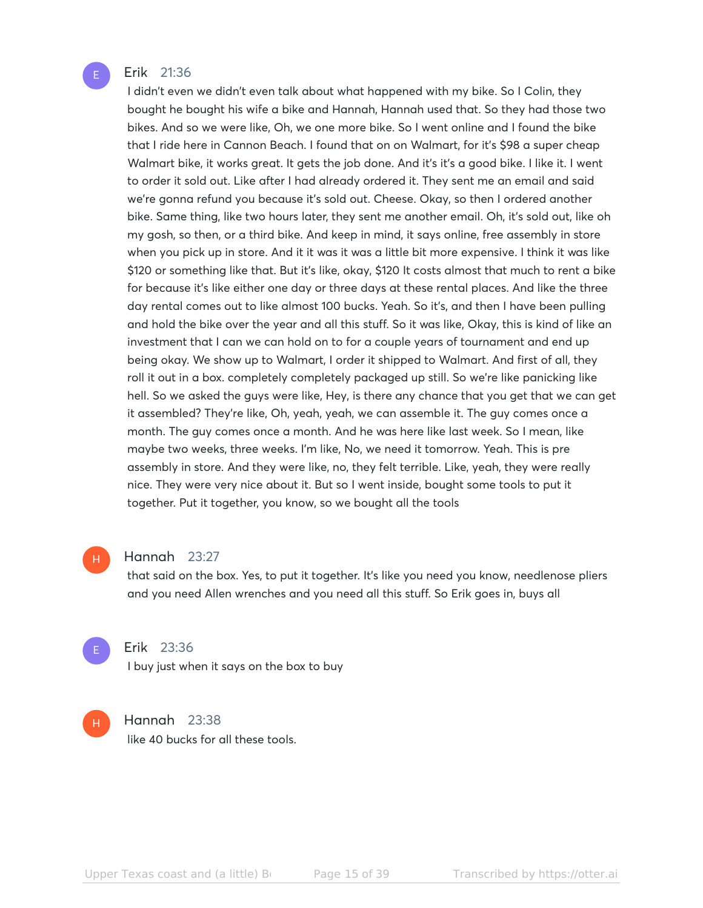#### Erik 21:36

I didn't even we didn't even talk about what happened with my bike. So I Colin, they bought he bought his wife a bike and Hannah, Hannah used that. So they had those two bikes. And so we were like, Oh, we one more bike. So I went online and I found the bike that I ride here in Cannon Beach. I found that on on Walmart, for it's \$98 a super cheap Walmart bike, it works great. It gets the job done. And it's it's a good bike. I like it. I went to order it sold out. Like after I had already ordered it. They sent me an email and said we're gonna refund you because it's sold out. Cheese. Okay, so then I ordered another bike. Same thing, like two hours later, they sent me another email. Oh, it's sold out, like oh my gosh, so then, or a third bike. And keep in mind, it says online, free assembly in store when you pick up in store. And it it was it was a little bit more expensive. I think it was like \$120 or something like that. But it's like, okay, \$120 It costs almost that much to rent a bike for because it's like either one day or three days at these rental places. And like the three day rental comes out to like almost 100 bucks. Yeah. So it's, and then I have been pulling and hold the bike over the year and all this stuff. So it was like, Okay, this is kind of like an investment that I can we can hold on to for a couple years of tournament and end up being okay. We show up to Walmart, I order it shipped to Walmart. And first of all, they roll it out in a box. completely completely packaged up still. So we're like panicking like hell. So we asked the guys were like, Hey, is there any chance that you get that we can get it assembled? They're like, Oh, yeah, yeah, we can assemble it. The guy comes once a month. The guy comes once a month. And he was here like last week. So I mean, like maybe two weeks, three weeks. I'm like, No, we need it tomorrow. Yeah. This is pre assembly in store. And they were like, no, they felt terrible. Like, yeah, they were really nice. They were very nice about it. But so I went inside, bought some tools to put it together. Put it together, you know, so we bought all the tools

#### H

#### Hannah 23:27

that said on the box. Yes, to put it together. It's like you need you know, needlenose pliers and you need Allen wrenches and you need all this stuff. So Erik goes in, buys all



H

#### Erik 23:36

I buy just when it says on the box to buy

Hannah 23:38 like 40 bucks for all these tools.

E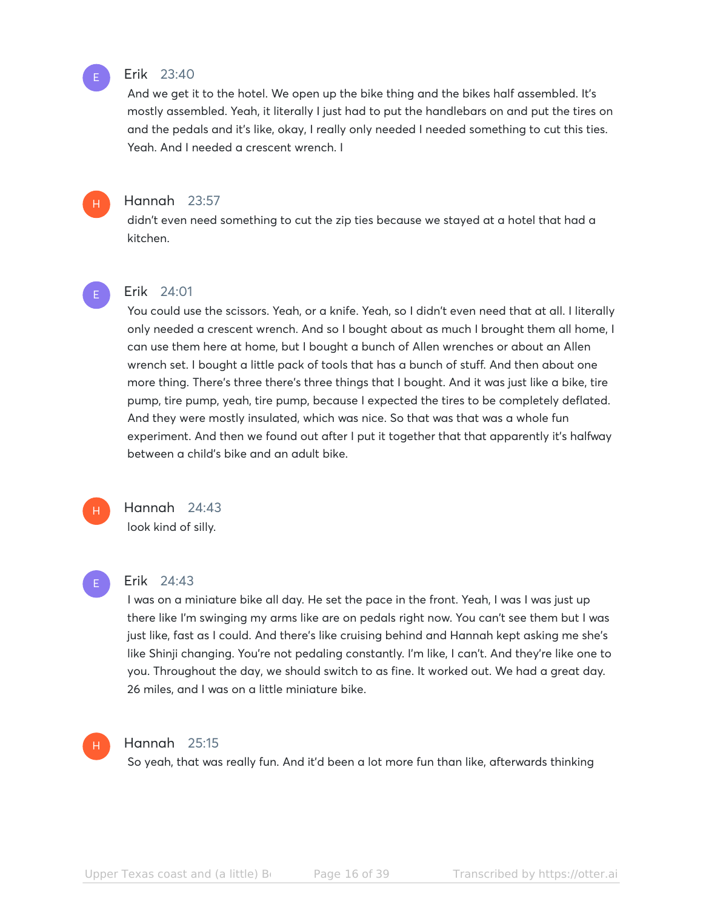#### Erik 23:40

And we get it to the hotel. We open up the bike thing and the bikes half assembled. It's mostly assembled. Yeah, it literally I just had to put the handlebars on and put the tires on and the pedals and it's like, okay, I really only needed I needed something to cut this ties. Yeah. And I needed a crescent wrench. I



E

#### Hannah 23:57

didn't even need something to cut the zip ties because we stayed at a hotel that had a kitchen.



#### Erik 24:01

You could use the scissors. Yeah, or a knife. Yeah, so I didn't even need that at all. I literally only needed a crescent wrench. And so I bought about as much I brought them all home, I can use them here at home, but I bought a bunch of Allen wrenches or about an Allen wrench set. I bought a little pack of tools that has a bunch of stuff. And then about one more thing. There's three there's three things that I bought. And it was just like a bike, tire pump, tire pump, yeah, tire pump, because I expected the tires to be completely deflated. And they were mostly insulated, which was nice. So that was that was a whole fun experiment. And then we found out after I put it together that that apparently it's halfway between a child's bike and an adult bike.



### Hannah 24:43

look kind of silly.



#### Erik 24:43

I was on a miniature bike all day. He set the pace in the front. Yeah, I was I was just up there like I'm swinging my arms like are on pedals right now. You can't see them but I was just like, fast as I could. And there's like cruising behind and Hannah kept asking me she's like Shinji changing. You're not pedaling constantly. I'm like, I can't. And they're like one to you. Throughout the day, we should switch to as fine. It worked out. We had a great day. 26 miles, and I was on a little miniature bike.



#### Hannah 25:15

So yeah, that was really fun. And it'd been a lot more fun than like, afterwards thinking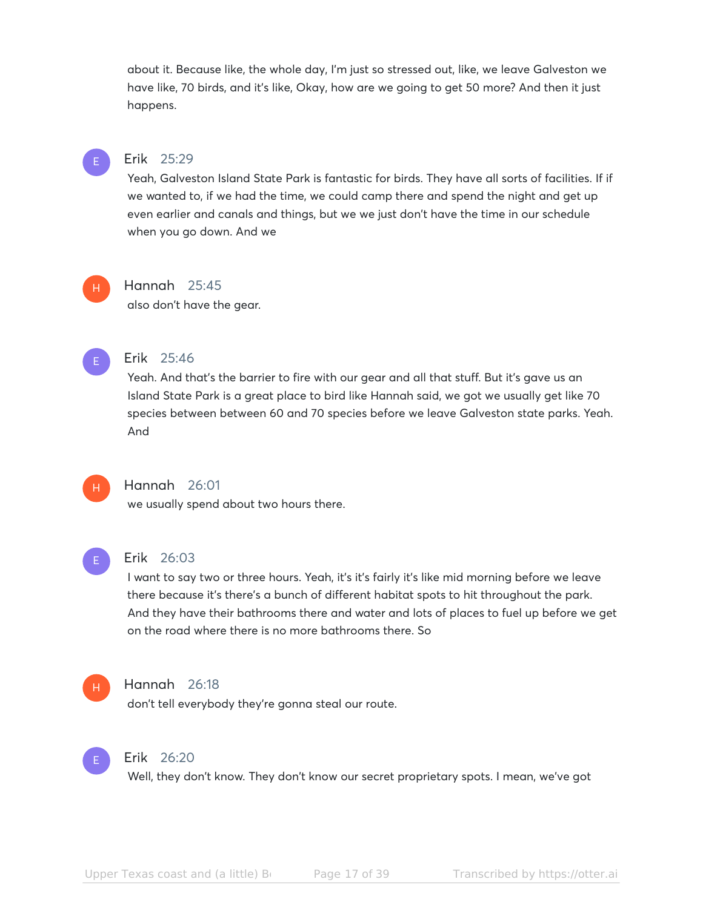about it. Because like, the whole day, I'm just so stressed out, like, we leave Galveston we have like, 70 birds, and it's like, Okay, how are we going to get 50 more? And then it just happens.



#### Erik 25:29

Yeah, Galveston Island State Park is fantastic for birds. They have all sorts of facilities. If if we wanted to, if we had the time, we could camp there and spend the night and get up even earlier and canals and things, but we we just don't have the time in our schedule when you go down. And we



#### Hannah 25:45

also don't have the gear.



#### Erik 25:46

Yeah. And that's the barrier to fire with our gear and all that stuff. But it's gave us an Island State Park is a great place to bird like Hannah said, we got we usually get like 70 species between between 60 and 70 species before we leave Galveston state parks. Yeah. And



### Hannah 26:01

we usually spend about two hours there.



#### Erik 26:03

I want to say two or three hours. Yeah, it's it's fairly it's like mid morning before we leave there because it's there's a bunch of different habitat spots to hit throughout the park. And they have their bathrooms there and water and lots of places to fuel up before we get on the road where there is no more bathrooms there. So



#### Hannah 26:18

don't tell everybody they're gonna steal our route.



#### Erik 26:20

Well, they don't know. They don't know our secret proprietary spots. I mean, we've got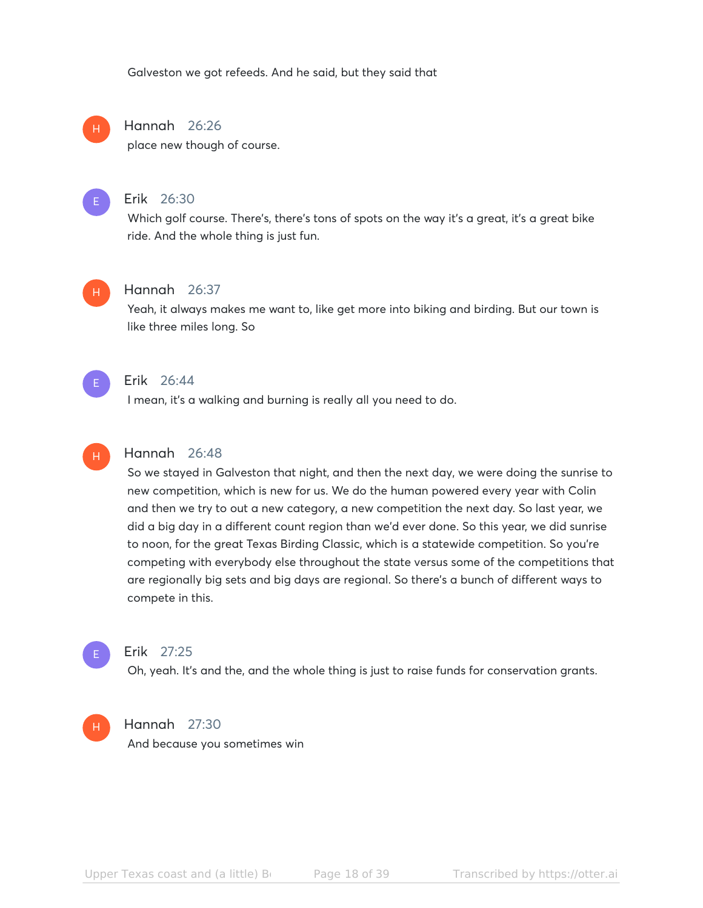Galveston we got refeeds. And he said, but they said that

#### Hannah 26:26

place new though of course.



H

#### Erik 26:30

Which golf course. There's, there's tons of spots on the way it's a great, it's a great bike ride. And the whole thing is just fun.



#### Hannah 26:37

Yeah, it always makes me want to, like get more into biking and birding. But our town is like three miles long. So



#### Erik 26:44

I mean, it's a walking and burning is really all you need to do.



#### Hannah 26:48

So we stayed in Galveston that night, and then the next day, we were doing the sunrise to new competition, which is new for us. We do the human powered every year with Colin and then we try to out a new category, a new competition the next day. So last year, we did a big day in a different count region than we'd ever done. So this year, we did sunrise to noon, for the great Texas Birding Classic, which is a statewide competition. So you're competing with everybody else throughout the state versus some of the competitions that are regionally big sets and big days are regional. So there's a bunch of different ways to compete in this.



H

#### Erik 27:25

Oh, yeah. It's and the, and the whole thing is just to raise funds for conservation grants.

#### Hannah 27:30 And because you sometimes win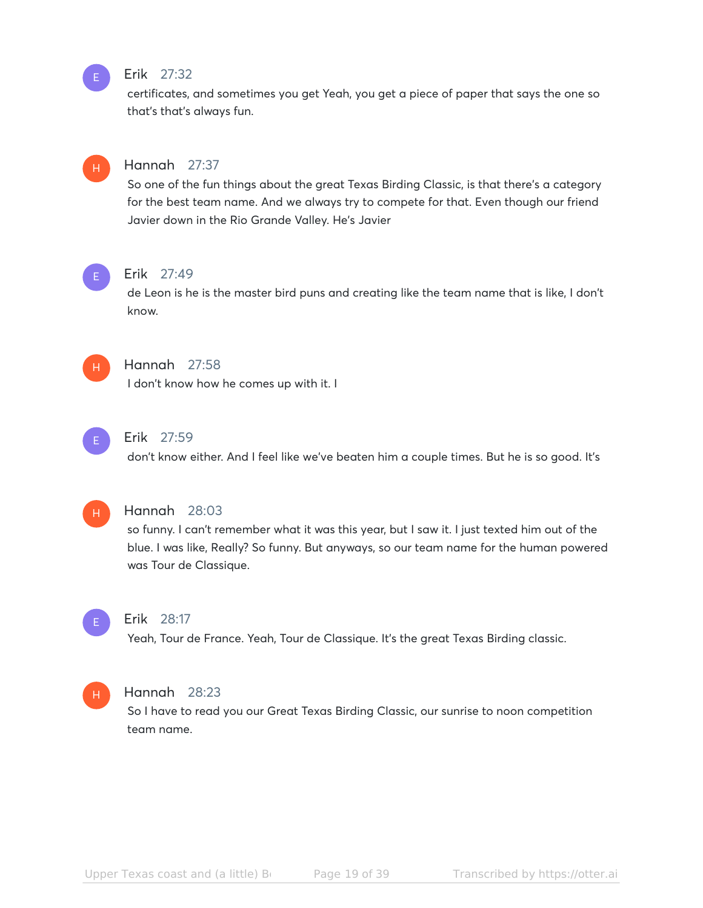#### Erik 27:32

certificates, and sometimes you get Yeah, you get a piece of paper that says the one so that's that's always fun.



E

### Hannah 27:37

So one of the fun things about the great Texas Birding Classic, is that there's a category for the best team name. And we always try to compete for that. Even though our friend Javier down in the Rio Grande Valley. He's Javier



#### Erik 27:49

de Leon is he is the master bird puns and creating like the team name that is like, I don't know.



#### Hannah 27:58

I don't know how he comes up with it. I



#### Erik 27:59

don't know either. And I feel like we've beaten him a couple times. But he is so good. It's



#### Hannah 28:03

so funny. I can't remember what it was this year, but I saw it. I just texted him out of the blue. I was like, Really? So funny. But anyways, so our team name for the human powered was Tour de Classique.



#### Erik 28:17

Yeah, Tour de France. Yeah, Tour de Classique. It's the great Texas Birding classic.



#### Hannah 28:23

So I have to read you our Great Texas Birding Classic, our sunrise to noon competition team name.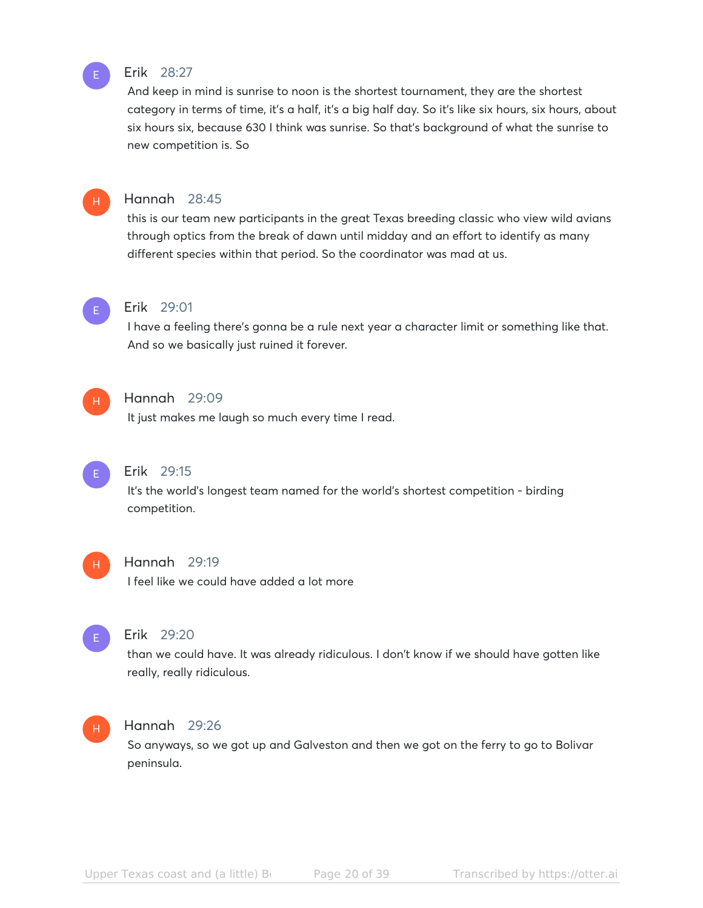

#### Erik 28:27

And keep in mind is sunrise to noon is the shortest tournament, they are the shortest category in terms of time, it's a half, it's a big half day. So it's like six hours, six hours, about six hours six, because 630 I think was sunrise. So that's background of what the sunrise to new competition is. So



#### Hannah 28:45

this is our team new participants in the great Texas breeding classic who view wild avians through optics from the break of dawn until midday and an effort to identify as many different species within that period. So the coordinator was mad at us.



#### Erik 29:01

I have a feeling there's gonna be a rule next year a character limit or something like that. And so we basically just ruined it forever.



#### Hannah 29:09

It just makes me laugh so much every time I read.



#### Erik 29:15

It's the world's longest team named for the world's shortest competition - birding competition.



#### Hannah 29:19

I feel like we could have added a lot more



#### Erik 29:20

than we could have. It was already ridiculous. I don't know if we should have gotten like really, really ridiculous.

## H

#### Hannah 29:26

So anyways, so we got up and Galveston and then we got on the ferry to go to Bolivar peninsula.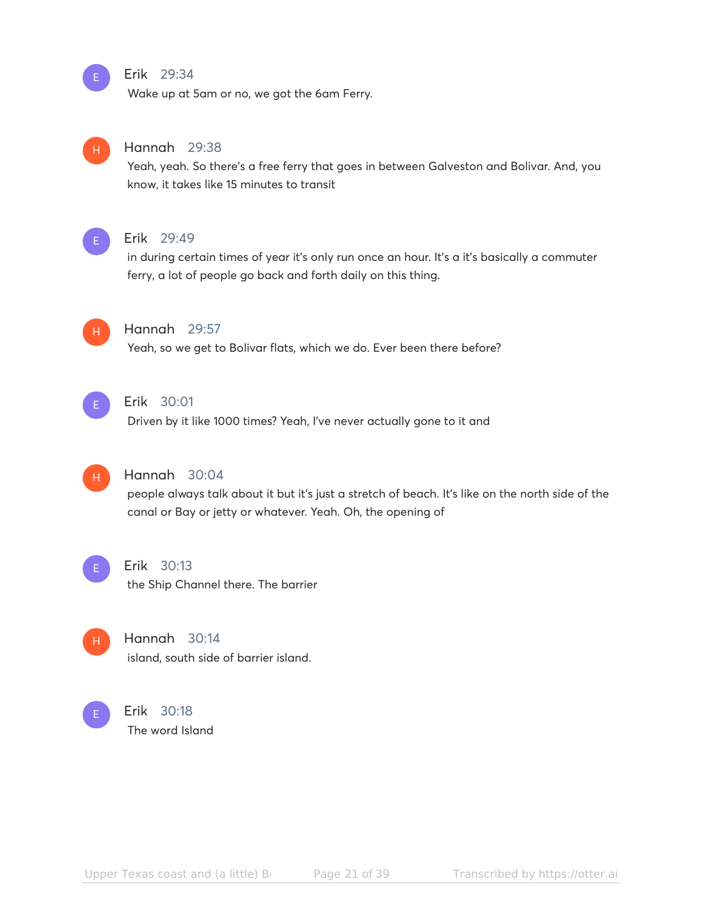#### Erik 29:34

Wake up at 5am or no, we got the 6am Ferry.



#### Hannah 29:38

Yeah, yeah. So there's a free ferry that goes in between Galveston and Bolivar. And, you know, it takes like 15 minutes to transit



#### Erik 29:49

in during certain times of year it's only run once an hour. It's a it's basically a commuter ferry, a lot of people go back and forth daily on this thing.



#### Hannah 29:57

Yeah, so we get to Bolivar flats, which we do. Ever been there before?



#### Erik 30:01

Driven by it like 1000 times? Yeah, I've never actually gone to it and



#### Hannah 30:04

people always talk about it but it's just a stretch of beach. It's like on the north side of the canal or Bay or jetty or whatever. Yeah. Oh, the opening of



#### Erik 30:13

the Ship Channel there. The barrier



#### Hannah 30:14

island, south side of barrier island.



Erik 30:18 The word Island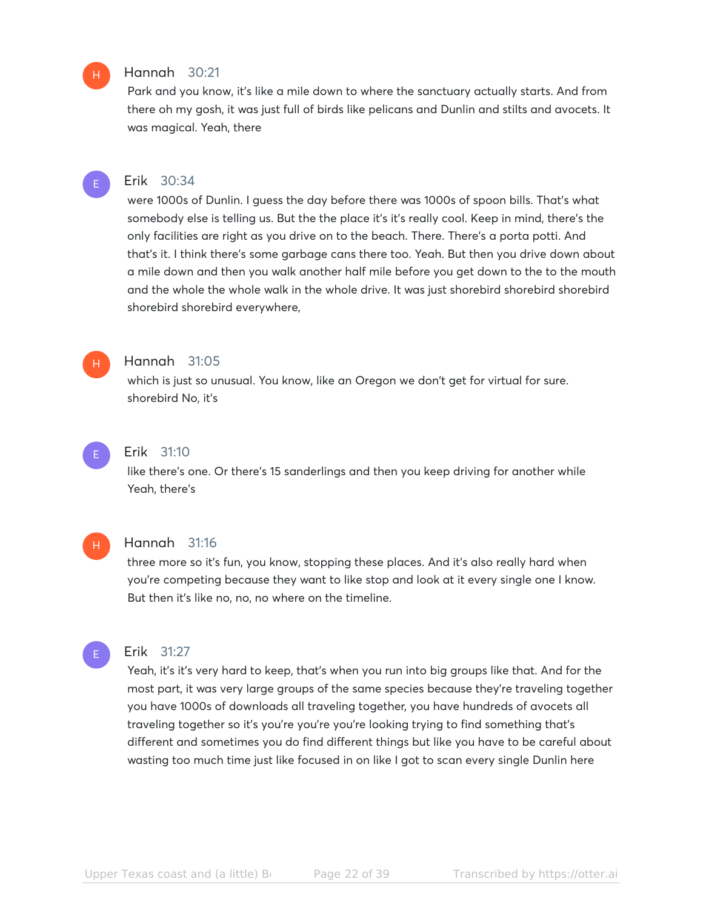

#### Hannah 30:21

Park and you know, it's like a mile down to where the sanctuary actually starts. And from there oh my gosh, it was just full of birds like pelicans and Dunlin and stilts and avocets. It was magical. Yeah, there



#### Erik 30:34

were 1000s of Dunlin. I guess the day before there was 1000s of spoon bills. That's what somebody else is telling us. But the the place it's it's really cool. Keep in mind, there's the only facilities are right as you drive on to the beach. There. There's a porta potti. And that's it. I think there's some garbage cans there too. Yeah. But then you drive down about a mile down and then you walk another half mile before you get down to the to the mouth and the whole the whole walk in the whole drive. It was just shorebird shorebird shorebird shorebird shorebird everywhere,



#### Hannah 31:05

which is just so unusual. You know, like an Oregon we don't get for virtual for sure. shorebird No, it's



#### Erik 31:10

like there's one. Or there's 15 sanderlings and then you keep driving for another while Yeah, there's



#### Hannah 31:16

three more so it's fun, you know, stopping these places. And it's also really hard when you're competing because they want to like stop and look at it every single one I know. But then it's like no, no, no where on the timeline.



#### Erik 31:27

Yeah, it's it's very hard to keep, that's when you run into big groups like that. And for the most part, it was very large groups of the same species because they're traveling together you have 1000s of downloads all traveling together, you have hundreds of avocets all traveling together so it's you're you're you're looking trying to find something that's different and sometimes you do find different things but like you have to be careful about wasting too much time just like focused in on like I got to scan every single Dunlin here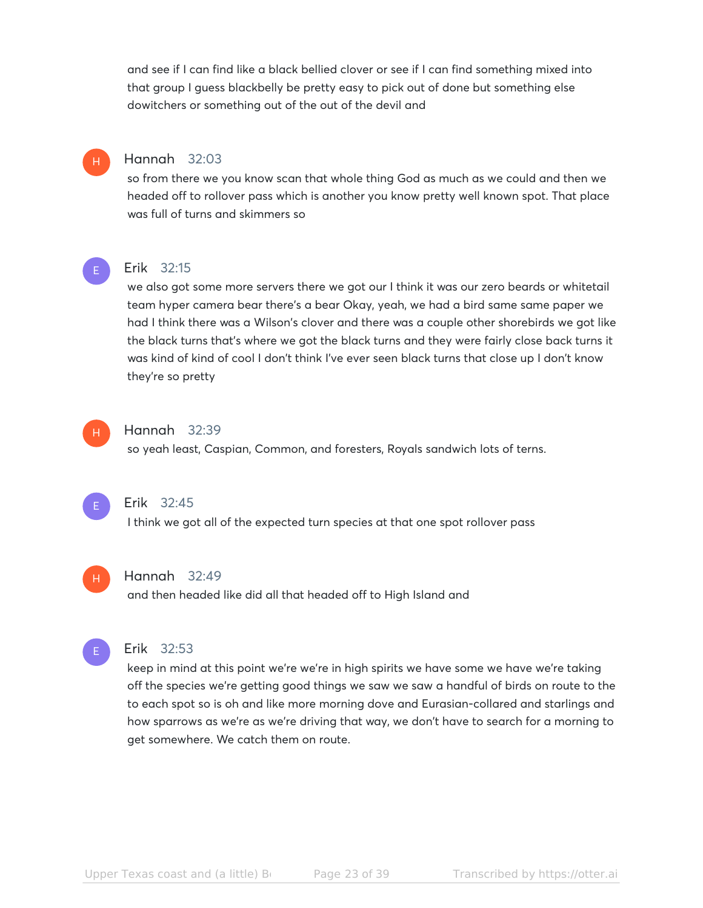and see if I can find like a black bellied clover or see if I can find something mixed into that group I guess blackbelly be pretty easy to pick out of done but something else dowitchers or something out of the out of the devil and

#### Hannah 32:03

so from there we you know scan that whole thing God as much as we could and then we headed off to rollover pass which is another you know pretty well known spot. That place was full of turns and skimmers so

### E

H

#### Erik 32:15

we also got some more servers there we got our I think it was our zero beards or whitetail team hyper camera bear there's a bear Okay, yeah, we had a bird same same paper we had I think there was a Wilson's clover and there was a couple other shorebirds we got like the black turns that's where we got the black turns and they were fairly close back turns it was kind of kind of cool I don't think I've ever seen black turns that close up I don't know they're so pretty



#### Hannah 32:39

so yeah least, Caspian, Common, and foresters, Royals sandwich lots of terns.



#### Erik 32:45

I think we got all of the expected turn species at that one spot rollover pass

#### Hannah 32:49 H

and then headed like did all that headed off to High Island and

#### E

#### Erik 32:53

keep in mind at this point we're we're in high spirits we have some we have we're taking off the species we're getting good things we saw we saw a handful of birds on route to the to each spot so is oh and like more morning dove and Eurasian-collared and starlings and how sparrows as we're as we're driving that way, we don't have to search for a morning to get somewhere. We catch them on route.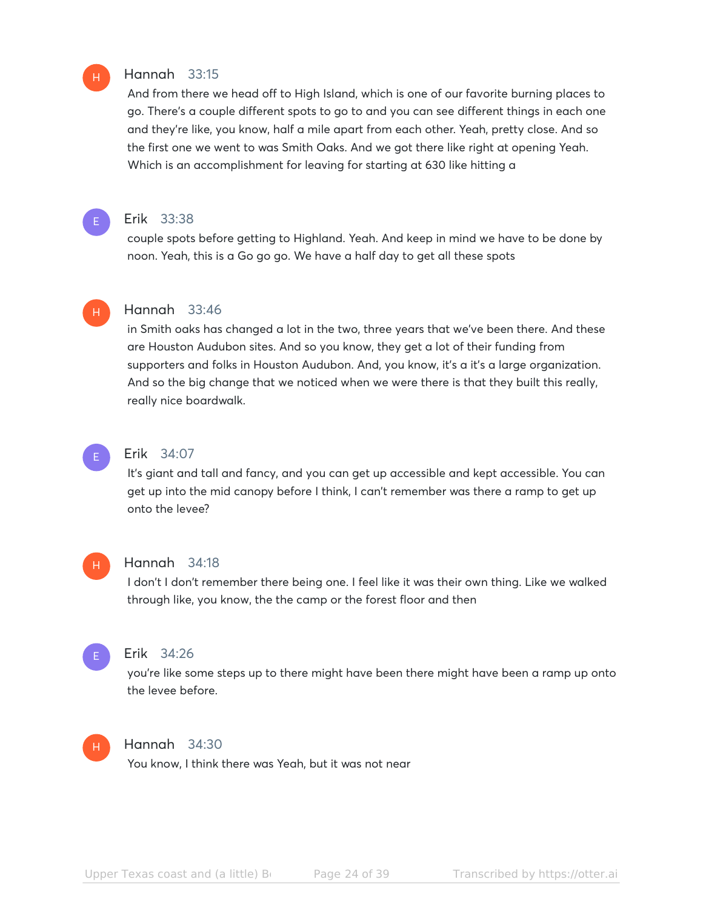#### Hannah 33:15

And from there we head off to High Island, which is one of our favorite burning places to go. There's a couple different spots to go to and you can see different things in each one and they're like, you know, half a mile apart from each other. Yeah, pretty close. And so the first one we went to was Smith Oaks. And we got there like right at opening Yeah. Which is an accomplishment for leaving for starting at 630 like hitting a



E

H

H

#### Erik 33:38

couple spots before getting to Highland. Yeah. And keep in mind we have to be done by noon. Yeah, this is a Go go go. We have a half day to get all these spots

#### Hannah 33:46

in Smith oaks has changed a lot in the two, three years that we've been there. And these are Houston Audubon sites. And so you know, they get a lot of their funding from supporters and folks in Houston Audubon. And, you know, it's a it's a large organization. And so the big change that we noticed when we were there is that they built this really, really nice boardwalk.



#### Erik 34:07

It's giant and tall and fancy, and you can get up accessible and kept accessible. You can get up into the mid canopy before I think, I can't remember was there a ramp to get up onto the levee?



#### Hannah 34:18

I don't I don't remember there being one. I feel like it was their own thing. Like we walked through like, you know, the the camp or the forest floor and then



#### Erik 34:26

you're like some steps up to there might have been there might have been a ramp up onto the levee before.



#### Hannah 34:30

You know, I think there was Yeah, but it was not near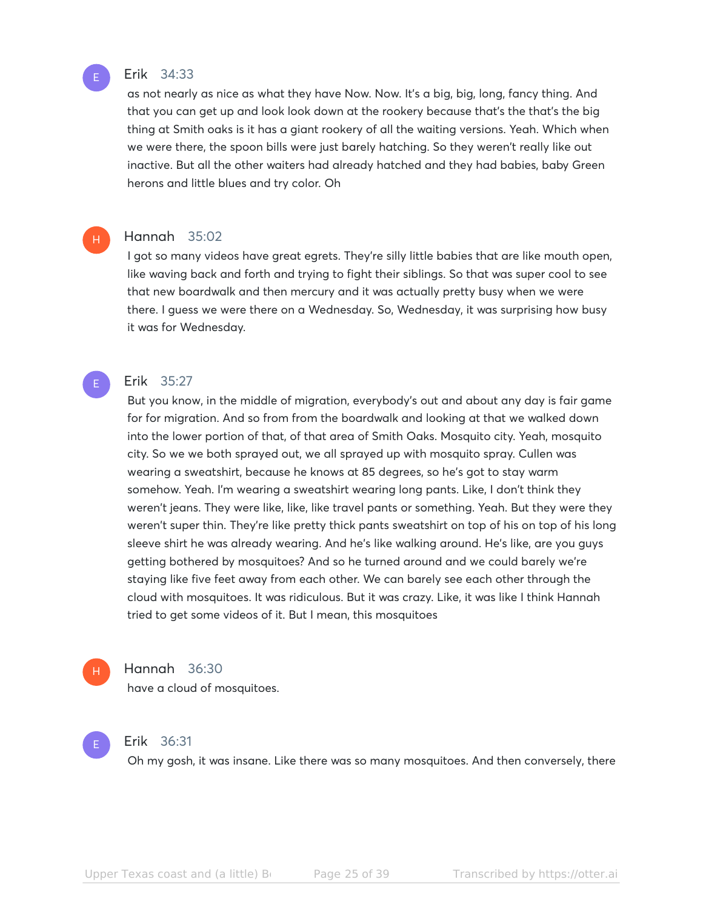

H

E

#### Erik 34:33

as not nearly as nice as what they have Now. Now. It's a big, big, long, fancy thing. And that you can get up and look look down at the rookery because that's the that's the big thing at Smith oaks is it has a giant rookery of all the waiting versions. Yeah. Which when we were there, the spoon bills were just barely hatching. So they weren't really like out inactive. But all the other waiters had already hatched and they had babies, baby Green herons and little blues and try color. Oh

#### Hannah 35:02

I got so many videos have great egrets. They're silly little babies that are like mouth open, like waving back and forth and trying to fight their siblings. So that was super cool to see that new boardwalk and then mercury and it was actually pretty busy when we were there. I guess we were there on a Wednesday. So, Wednesday, it was surprising how busy it was for Wednesday.

#### Erik 35:27

But you know, in the middle of migration, everybody's out and about any day is fair game for for migration. And so from from the boardwalk and looking at that we walked down into the lower portion of that, of that area of Smith Oaks. Mosquito city. Yeah, mosquito city. So we we both sprayed out, we all sprayed up with mosquito spray. Cullen was wearing a sweatshirt, because he knows at 85 degrees, so he's got to stay warm somehow. Yeah. I'm wearing a sweatshirt wearing long pants. Like, I don't think they weren't jeans. They were like, like, like travel pants or something. Yeah. But they were they weren't super thin. They're like pretty thick pants sweatshirt on top of his on top of his long sleeve shirt he was already wearing. And he's like walking around. He's like, are you guys getting bothered by mosquitoes? And so he turned around and we could barely we're staying like five feet away from each other. We can barely see each other through the cloud with mosquitoes. It was ridiculous. But it was crazy. Like, it was like I think Hannah tried to get some videos of it. But I mean, this mosquitoes



#### Hannah 36:30

have a cloud of mosquitoes.



#### Erik 36:31

Oh my gosh, it was insane. Like there was so many mosquitoes. And then conversely, there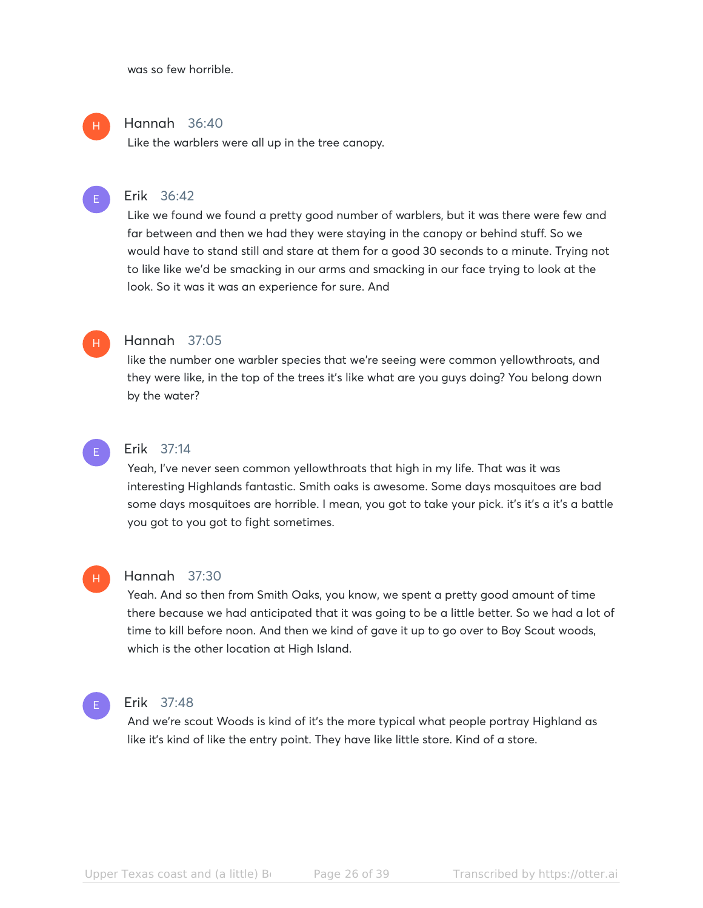was so few horrible.

#### Hannah 36:40

Like the warblers were all up in the tree canopy.

#### Erik 36:42

Like we found we found a pretty good number of warblers, but it was there were few and far between and then we had they were staying in the canopy or behind stuff. So we would have to stand still and stare at them for a good 30 seconds to a minute. Trying not to like like we'd be smacking in our arms and smacking in our face trying to look at the look. So it was it was an experience for sure. And



H

E

#### Hannah 37:05

like the number one warbler species that we're seeing were common yellowthroats, and they were like, in the top of the trees it's like what are you guys doing? You belong down by the water?



#### Erik 37:14

Yeah, I've never seen common yellowthroats that high in my life. That was it was interesting Highlands fantastic. Smith oaks is awesome. Some days mosquitoes are bad some days mosquitoes are horrible. I mean, you got to take your pick. it's it's a it's a battle you got to you got to fight sometimes.

#### Hannah 37:30 H

Yeah. And so then from Smith Oaks, you know, we spent a pretty good amount of time there because we had anticipated that it was going to be a little better. So we had a lot of time to kill before noon. And then we kind of gave it up to go over to Boy Scout woods, which is the other location at High Island.



#### Erik 37:48

And we're scout Woods is kind of it's the more typical what people portray Highland as like it's kind of like the entry point. They have like little store. Kind of a store.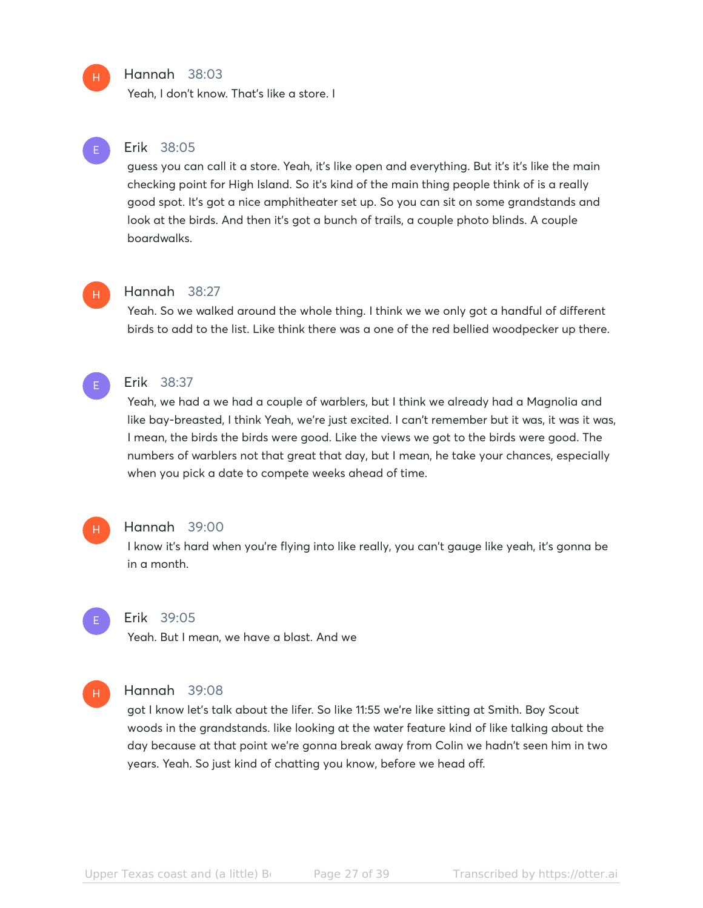#### Hannah 38:03

Yeah, I don't know. That's like a store. I

#### Erik 38:05

guess you can call it a store. Yeah, it's like open and everything. But it's it's like the main checking point for High Island. So it's kind of the main thing people think of is a really good spot. It's got a nice amphitheater set up. So you can sit on some grandstands and look at the birds. And then it's got a bunch of trails, a couple photo blinds. A couple boardwalks.

#### H

H

E

#### Hannah 38:27

Yeah. So we walked around the whole thing. I think we we only got a handful of different birds to add to the list. Like think there was a one of the red bellied woodpecker up there.

#### E

#### Erik 38:37

Yeah, we had a we had a couple of warblers, but I think we already had a Magnolia and like bay-breasted, I think Yeah, we're just excited. I can't remember but it was, it was it was, I mean, the birds the birds were good. Like the views we got to the birds were good. The numbers of warblers not that great that day, but I mean, he take your chances, especially when you pick a date to compete weeks ahead of time.

### H

### Hannah 39:00

I know it's hard when you're flying into like really, you can't gauge like yeah, it's gonna be in a month.



#### Erik 39:05

Yeah. But I mean, we have a blast. And we



#### Hannah 39:08

got I know let's talk about the lifer. So like 11:55 we're like sitting at Smith. Boy Scout woods in the grandstands. like looking at the water feature kind of like talking about the day because at that point we're gonna break away from Colin we hadn't seen him in two years. Yeah. So just kind of chatting you know, before we head off.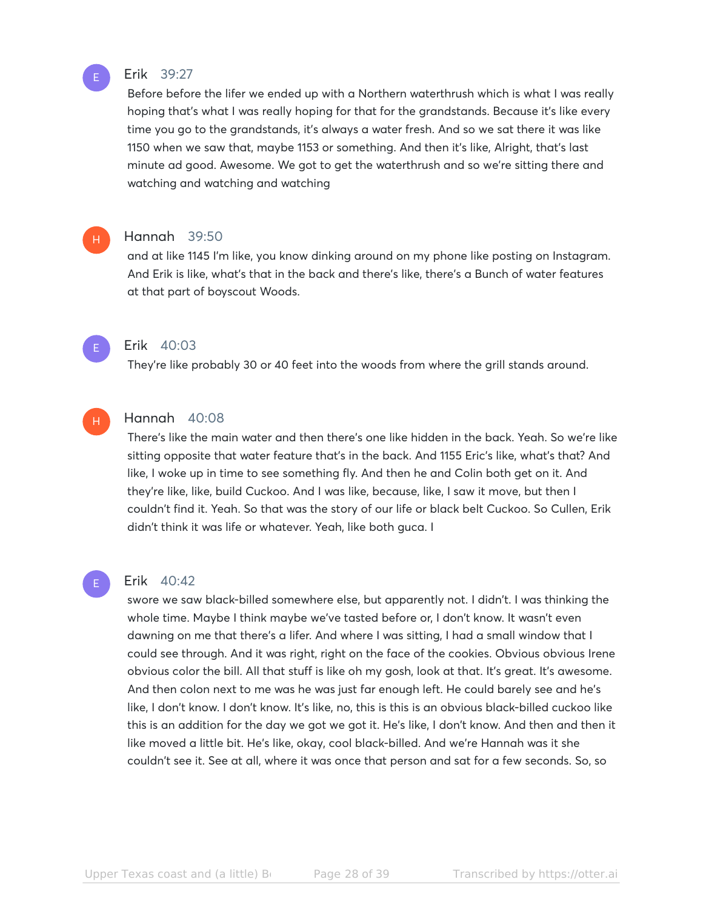

H

E

E

#### Erik 39:27

Before before the lifer we ended up with a Northern waterthrush which is what I was really hoping that's what I was really hoping for that for the grandstands. Because it's like every time you go to the grandstands, it's always a water fresh. And so we sat there it was like 1150 when we saw that, maybe 1153 or something. And then it's like, Alright, that's last minute ad good. Awesome. We got to get the waterthrush and so we're sitting there and watching and watching and watching

#### Hannah 39:50

and at like 1145 I'm like, you know dinking around on my phone like posting on Instagram. And Erik is like, what's that in the back and there's like, there's a Bunch of water features at that part of boyscout Woods.

#### Erik 40:03

They're like probably 30 or 40 feet into the woods from where the grill stands around.

#### Hannah 40:08 H

There's like the main water and then there's one like hidden in the back. Yeah. So we're like sitting opposite that water feature that's in the back. And 1155 Eric's like, what's that? And like, I woke up in time to see something fly. And then he and Colin both get on it. And they're like, like, build Cuckoo. And I was like, because, like, I saw it move, but then I couldn't find it. Yeah. So that was the story of our life or black belt Cuckoo. So Cullen, Erik didn't think it was life or whatever. Yeah, like both guca. I

#### Erik 40:42

swore we saw black-billed somewhere else, but apparently not. I didn't. I was thinking the whole time. Maybe I think maybe we've tasted before or, I don't know. It wasn't even dawning on me that there's a lifer. And where I was sitting, I had a small window that I could see through. And it was right, right on the face of the cookies. Obvious obvious Irene obvious color the bill. All that stuff is like oh my gosh, look at that. It's great. It's awesome. And then colon next to me was he was just far enough left. He could barely see and he's like, I don't know. I don't know. It's like, no, this is this is an obvious black-billed cuckoo like this is an addition for the day we got we got it. He's like, I don't know. And then and then it like moved a little bit. He's like, okay, cool black-billed. And we're Hannah was it she couldn't see it. See at all, where it was once that person and sat for a few seconds. So, so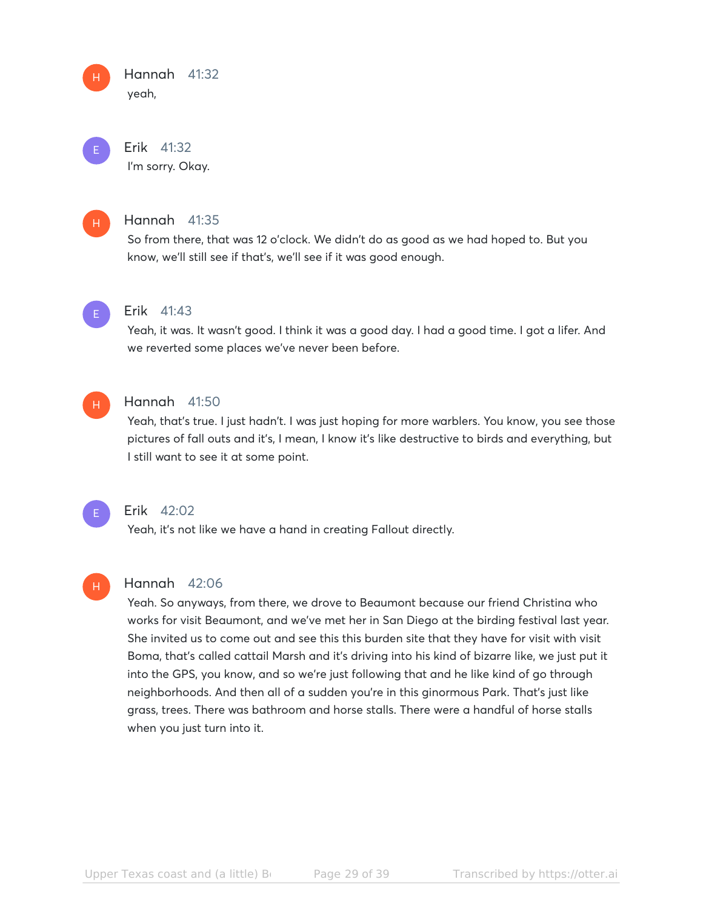Erik 41:32 I'm sorry. Okay.



H

E

#### Hannah 41:35

So from there, that was 12 o'clock. We didn't do as good as we had hoped to. But you know, we'll still see if that's, we'll see if it was good enough.



#### Erik 41:43

Yeah, it was. It wasn't good. I think it was a good day. I had a good time. I got a lifer. And we reverted some places we've never been before.

#### Hannah 41:50 H

Yeah, that's true. I just hadn't. I was just hoping for more warblers. You know, you see those pictures of fall outs and it's, I mean, I know it's like destructive to birds and everything, but I still want to see it at some point.



H

#### Erik 42:02

Yeah, it's not like we have a hand in creating Fallout directly.

#### Hannah 42:06

Yeah. So anyways, from there, we drove to Beaumont because our friend Christina who works for visit Beaumont, and we've met her in San Diego at the birding festival last year. She invited us to come out and see this this burden site that they have for visit with visit Boma, that's called cattail Marsh and it's driving into his kind of bizarre like, we just put it into the GPS, you know, and so we're just following that and he like kind of go through neighborhoods. And then all of a sudden you're in this ginormous Park. That's just like grass, trees. There was bathroom and horse stalls. There were a handful of horse stalls when you just turn into it.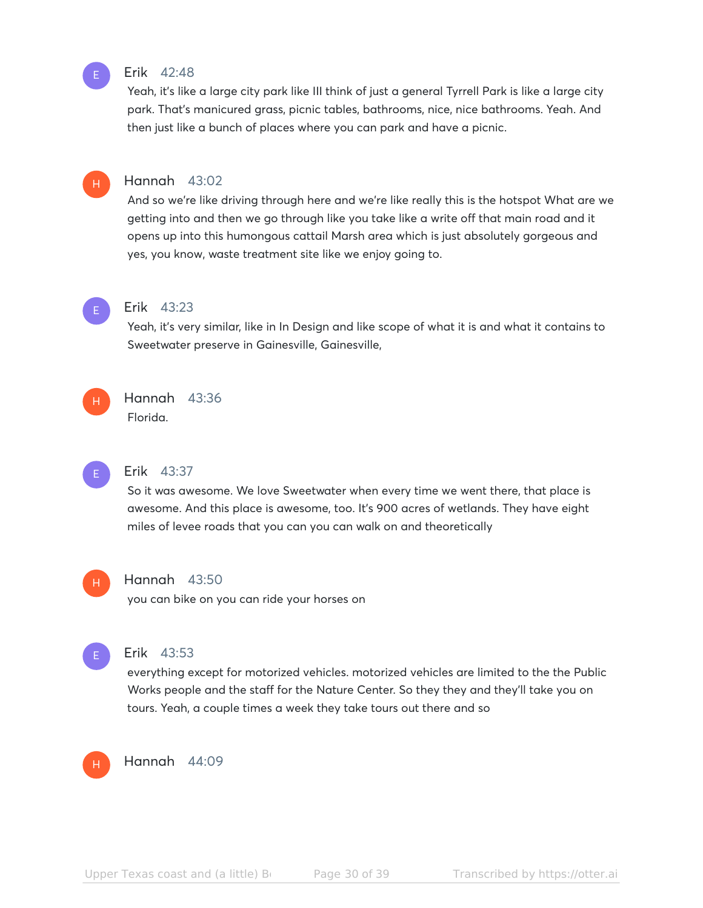#### Erik 42:48

Yeah, it's like a large city park like III think of just a general Tyrrell Park is like a large city park. That's manicured grass, picnic tables, bathrooms, nice, nice bathrooms. Yeah. And then just like a bunch of places where you can park and have a picnic.



E

#### Hannah 43:02

And so we're like driving through here and we're like really this is the hotspot What are we getting into and then we go through like you take like a write off that main road and it opens up into this humongous cattail Marsh area which is just absolutely gorgeous and yes, you know, waste treatment site like we enjoy going to.



#### Erik 43:23

Yeah, it's very similar, like in In Design and like scope of what it is and what it contains to Sweetwater preserve in Gainesville, Gainesville,

H

#### Hannah 43:36 Florida.



#### Erik 43:37

So it was awesome. We love Sweetwater when every time we went there, that place is awesome. And this place is awesome, too. It's 900 acres of wetlands. They have eight miles of levee roads that you can you can walk on and theoretically



#### Hannah 43:50

you can bike on you can ride your horses on



#### Erik 43:53

everything except for motorized vehicles. motorized vehicles are limited to the the Public Works people and the staff for the Nature Center. So they they and they'll take you on tours. Yeah, a couple times a week they take tours out there and so



#### Hannah 44:09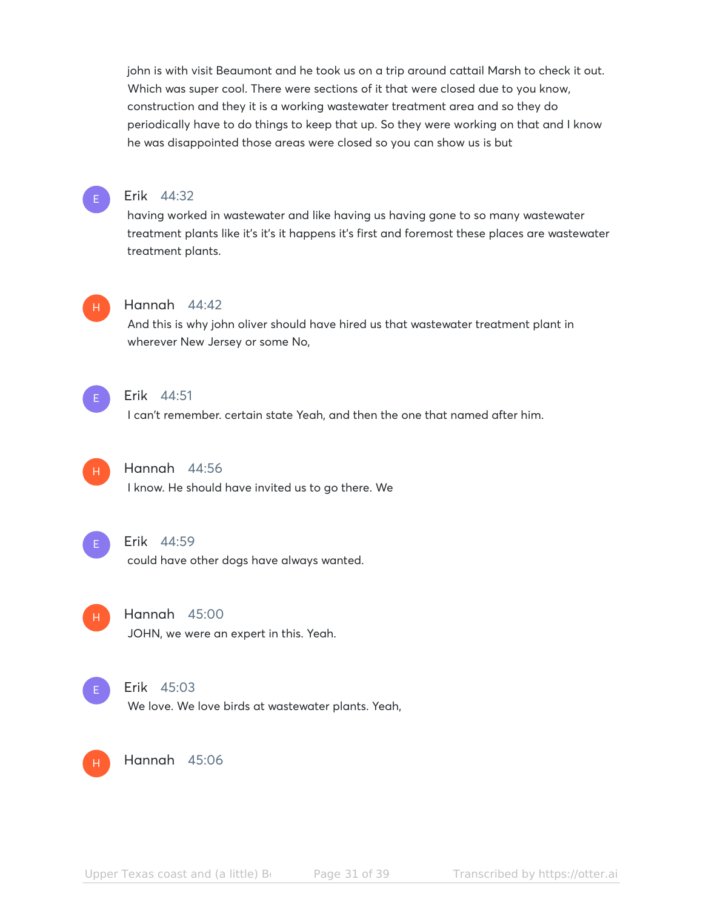john is with visit Beaumont and he took us on a trip around cattail Marsh to check it out. Which was super cool. There were sections of it that were closed due to you know, construction and they it is a working wastewater treatment area and so they do periodically have to do things to keep that up. So they were working on that and I know he was disappointed those areas were closed so you can show us is but



#### Erik 44:32

having worked in wastewater and like having us having gone to so many wastewater treatment plants like it's it's it happens it's first and foremost these places are wastewater treatment plants.



### Hannah 44:42

And this is why john oliver should have hired us that wastewater treatment plant in wherever New Jersey or some No,



#### Erik 44:51

I can't remember. certain state Yeah, and then the one that named after him.



#### Hannah 44:56

I know. He should have invited us to go there. We



#### Erik 44:59

could have other dogs have always wanted.

Hannah 45:00 JOHN, we were an expert in this. Yeah. H



Erik 45:03 We love. We love birds at wastewater plants. Yeah,

Hannah 45:06 H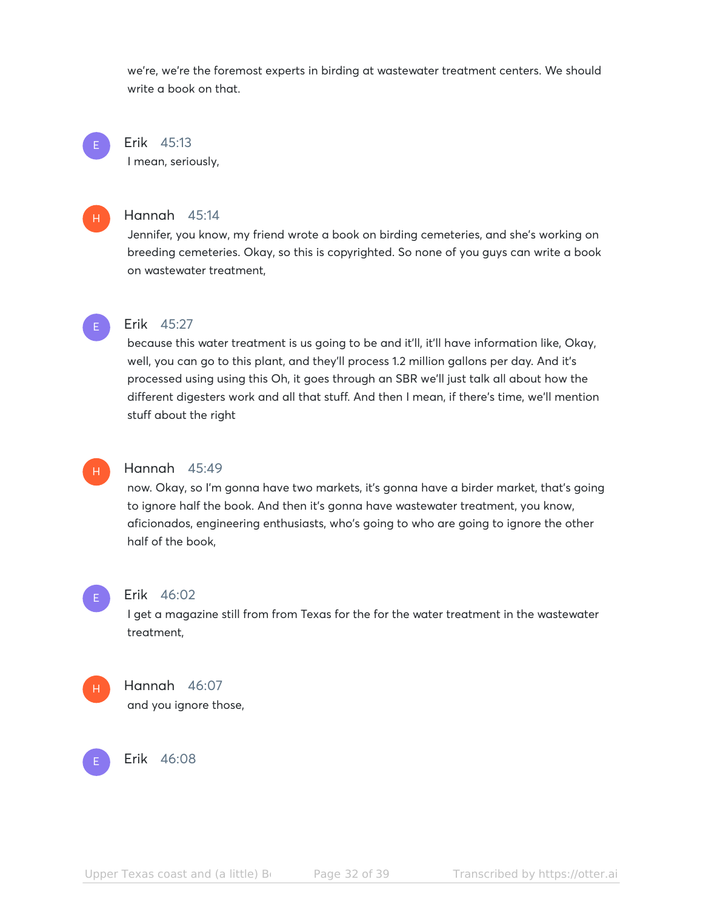we're, we're the foremost experts in birding at wastewater treatment centers. We should write a book on that.

E

Erik 45:13

I mean, seriously,



#### Hannah 45:14

Jennifer, you know, my friend wrote a book on birding cemeteries, and she's working on breeding cemeteries. Okay, so this is copyrighted. So none of you guys can write a book on wastewater treatment,



#### Erik 45:27

because this water treatment is us going to be and it'll, it'll have information like, Okay, well, you can go to this plant, and they'll process 1.2 million gallons per day. And it's processed using using this Oh, it goes through an SBR we'll just talk all about how the different digesters work and all that stuff. And then I mean, if there's time, we'll mention stuff about the right

#### Hannah 45:49 H

now. Okay, so I'm gonna have two markets, it's gonna have a birder market, that's going to ignore half the book. And then it's gonna have wastewater treatment, you know, aficionados, engineering enthusiasts, who's going to who are going to ignore the other half of the book,



#### Erik 46:02

I get a magazine still from from Texas for the for the water treatment in the wastewater treatment,



## Hannah 46:07

and you ignore those,



Erik 46:08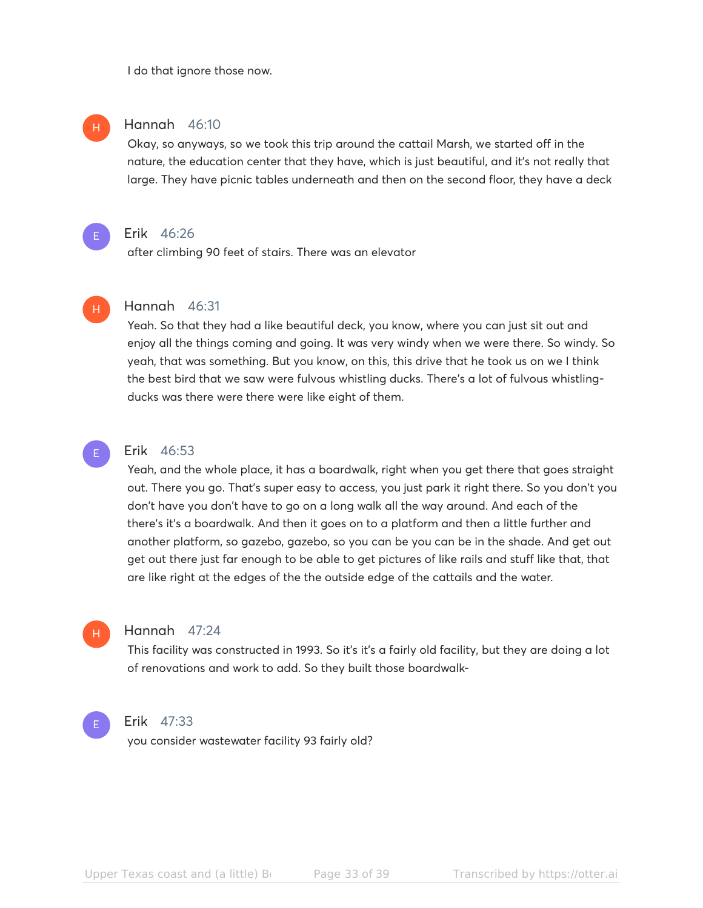I do that ignore those now.

#### Hannah 46:10 H

Okay, so anyways, so we took this trip around the cattail Marsh, we started off in the nature, the education center that they have, which is just beautiful, and it's not really that large. They have picnic tables underneath and then on the second floor, they have a deck



H

#### Erik 46:26

after climbing 90 feet of stairs. There was an elevator

#### Hannah 46:31

Yeah. So that they had a like beautiful deck, you know, where you can just sit out and enjoy all the things coming and going. It was very windy when we were there. So windy. So yeah, that was something. But you know, on this, this drive that he took us on we I think the best bird that we saw were fulvous whistling ducks. There's a lot of fulvous whistlingducks was there were there were like eight of them.



#### Erik 46:53

Yeah, and the whole place, it has a boardwalk, right when you get there that goes straight out. There you go. That's super easy to access, you just park it right there. So you don't you don't have you don't have to go on a long walk all the way around. And each of the there's it's a boardwalk. And then it goes on to a platform and then a little further and another platform, so gazebo, gazebo, so you can be you can be in the shade. And get out get out there just far enough to be able to get pictures of like rails and stuff like that, that are like right at the edges of the the outside edge of the cattails and the water.



#### Hannah 47:24

This facility was constructed in 1993. So it's it's a fairly old facility, but they are doing a lot of renovations and work to add. So they built those boardwalk-

## E

#### Erik 47:33

you consider wastewater facility 93 fairly old?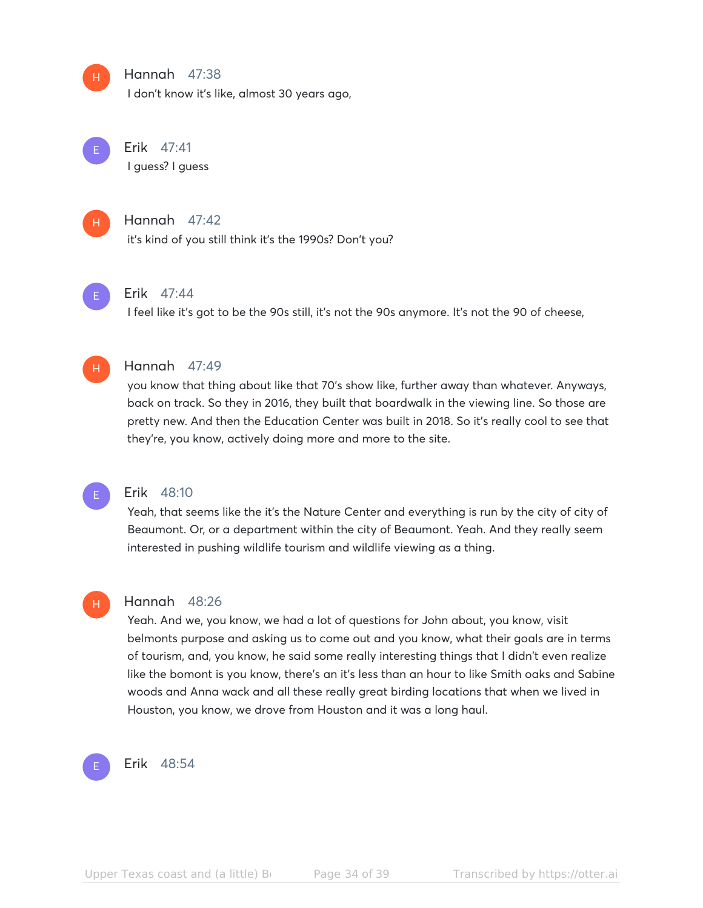#### Hannah 47:38

I don't know it's like, almost 30 years ago,



H

Erik 47:41

I guess? I guess



#### Hannah 47:42

it's kind of you still think it's the 1990s? Don't you?



#### Erik 47:44

I feel like it's got to be the 90s still, it's not the 90s anymore. It's not the 90 of cheese,



#### Hannah 47:49

you know that thing about like that 70's show like, further away than whatever. Anyways, back on track. So they in 2016, they built that boardwalk in the viewing line. So those are pretty new. And then the Education Center was built in 2018. So it's really cool to see that they're, you know, actively doing more and more to the site.



#### Erik 48:10

Yeah, that seems like the it's the Nature Center and everything is run by the city of city of Beaumont. Or, or a department within the city of Beaumont. Yeah. And they really seem interested in pushing wildlife tourism and wildlife viewing as a thing.

## H

#### Hannah 48:26

Yeah. And we, you know, we had a lot of questions for John about, you know, visit belmonts purpose and asking us to come out and you know, what their goals are in terms of tourism, and, you know, he said some really interesting things that I didn't even realize like the bomont is you know, there's an it's less than an hour to like Smith oaks and Sabine woods and Anna wack and all these really great birding locations that when we lived in Houston, you know, we drove from Houston and it was a long haul.



Erik 48:54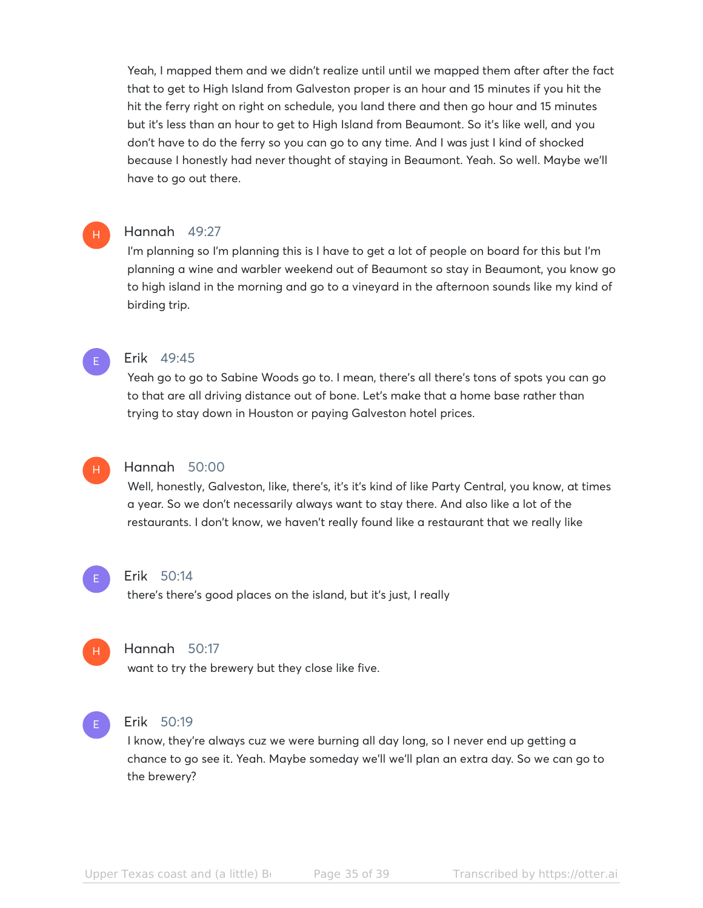Yeah, I mapped them and we didn't realize until until we mapped them after after the fact that to get to High Island from Galveston proper is an hour and 15 minutes if you hit the hit the ferry right on right on schedule, you land there and then go hour and 15 minutes but it's less than an hour to get to High Island from Beaumont. So it's like well, and you don't have to do the ferry so you can go to any time. And I was just I kind of shocked because I honestly had never thought of staying in Beaumont. Yeah. So well. Maybe we'll have to go out there.

#### Hannah 49:27

H

E

H

I'm planning so I'm planning this is I have to get a lot of people on board for this but I'm planning a wine and warbler weekend out of Beaumont so stay in Beaumont, you know go to high island in the morning and go to a vineyard in the afternoon sounds like my kind of birding trip.

#### Erik 49:45

Yeah go to go to Sabine Woods go to. I mean, there's all there's tons of spots you can go to that are all driving distance out of bone. Let's make that a home base rather than trying to stay down in Houston or paying Galveston hotel prices.

#### Hannah 50:00

Well, honestly, Galveston, like, there's, it's it's kind of like Party Central, you know, at times a year. So we don't necessarily always want to stay there. And also like a lot of the restaurants. I don't know, we haven't really found like a restaurant that we really like

#### Erik 50:14

there's there's good places on the island, but it's just, I really

## H

#### Hannah 50:17

want to try the brewery but they close like five.

## E

#### Erik 50:19

I know, they're always cuz we were burning all day long, so I never end up getting a chance to go see it. Yeah. Maybe someday we'll we'll plan an extra day. So we can go to the brewery?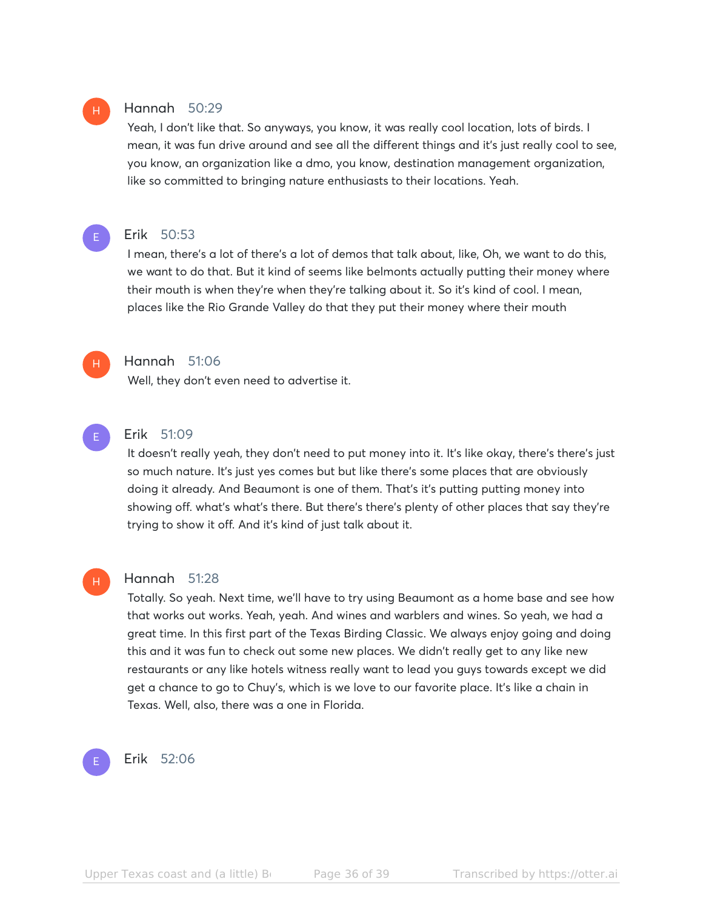#### Hannah 50:29

Yeah, I don't like that. So anyways, you know, it was really cool location, lots of birds. I mean, it was fun drive around and see all the different things and it's just really cool to see, you know, an organization like a dmo, you know, destination management organization, like so committed to bringing nature enthusiasts to their locations. Yeah.

#### Erik 50:53

I mean, there's a lot of there's a lot of demos that talk about, like, Oh, we want to do this, we want to do that. But it kind of seems like belmonts actually putting their money where their mouth is when they're when they're talking about it. So it's kind of cool. I mean, places like the Rio Grande Valley do that they put their money where their mouth



H

E

#### Hannah 51:06

Well, they don't even need to advertise it.



H

#### Erik 51:09

It doesn't really yeah, they don't need to put money into it. It's like okay, there's there's just so much nature. It's just yes comes but but like there's some places that are obviously doing it already. And Beaumont is one of them. That's it's putting putting money into showing off. what's what's there. But there's there's plenty of other places that say they're trying to show it off. And it's kind of just talk about it.

#### Hannah 51:28

Totally. So yeah. Next time, we'll have to try using Beaumont as a home base and see how that works out works. Yeah, yeah. And wines and warblers and wines. So yeah, we had a great time. In this first part of the Texas Birding Classic. We always enjoy going and doing this and it was fun to check out some new places. We didn't really get to any like new restaurants or any like hotels witness really want to lead you guys towards except we did get a chance to go to Chuy's, which is we love to our favorite place. It's like a chain in Texas. Well, also, there was a one in Florida.



#### Erik 52:06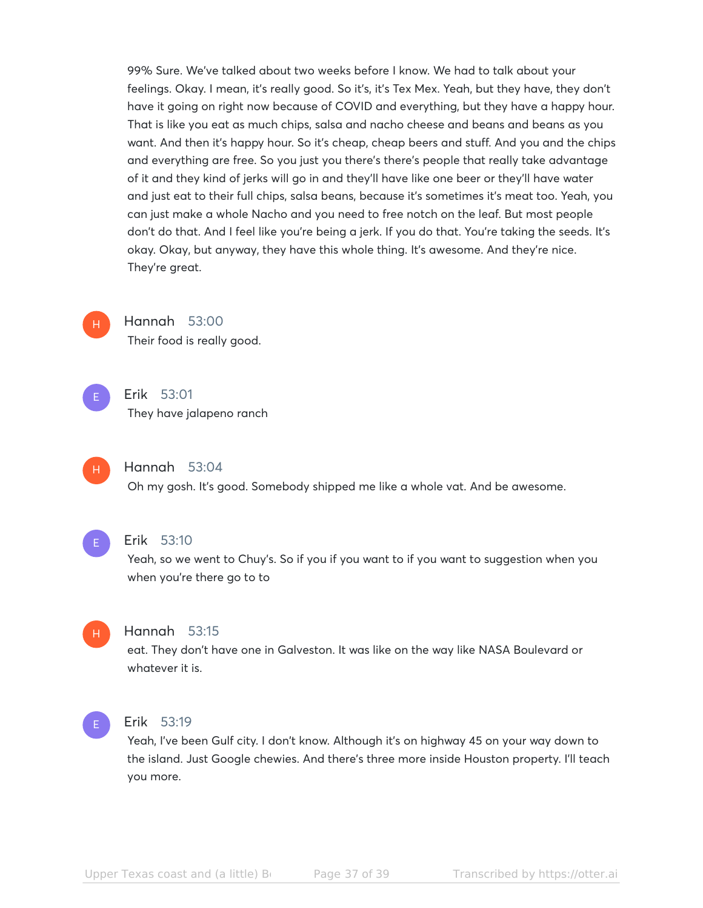99% Sure. We've talked about two weeks before I know. We had to talk about your feelings. Okay. I mean, it's really good. So it's, it's Tex Mex. Yeah, but they have, they don't have it going on right now because of COVID and everything, but they have a happy hour. That is like you eat as much chips, salsa and nacho cheese and beans and beans as you want. And then it's happy hour. So it's cheap, cheap beers and stuff. And you and the chips and everything are free. So you just you there's there's people that really take advantage of it and they kind of jerks will go in and they'll have like one beer or they'll have water and just eat to their full chips, salsa beans, because it's sometimes it's meat too. Yeah, you can just make a whole Nacho and you need to free notch on the leaf. But most people don't do that. And I feel like you're being a jerk. If you do that. You're taking the seeds. It's okay. Okay, but anyway, they have this whole thing. It's awesome. And they're nice. They're great.



#### Hannah 53:00

Their food is really good.



### Erik 53:01

They have jalapeno ranch



#### Hannah 53:04

Oh my gosh. It's good. Somebody shipped me like a whole vat. And be awesome.



#### Erik 53:10

Yeah, so we went to Chuy's. So if you if you want to if you want to suggestion when you when you're there go to to



#### Hannah 53:15

eat. They don't have one in Galveston. It was like on the way like NASA Boulevard or whatever it is.



#### Erik 53:19

Yeah, I've been Gulf city. I don't know. Although it's on highway 45 on your way down to the island. Just Google chewies. And there's three more inside Houston property. I'll teach you more.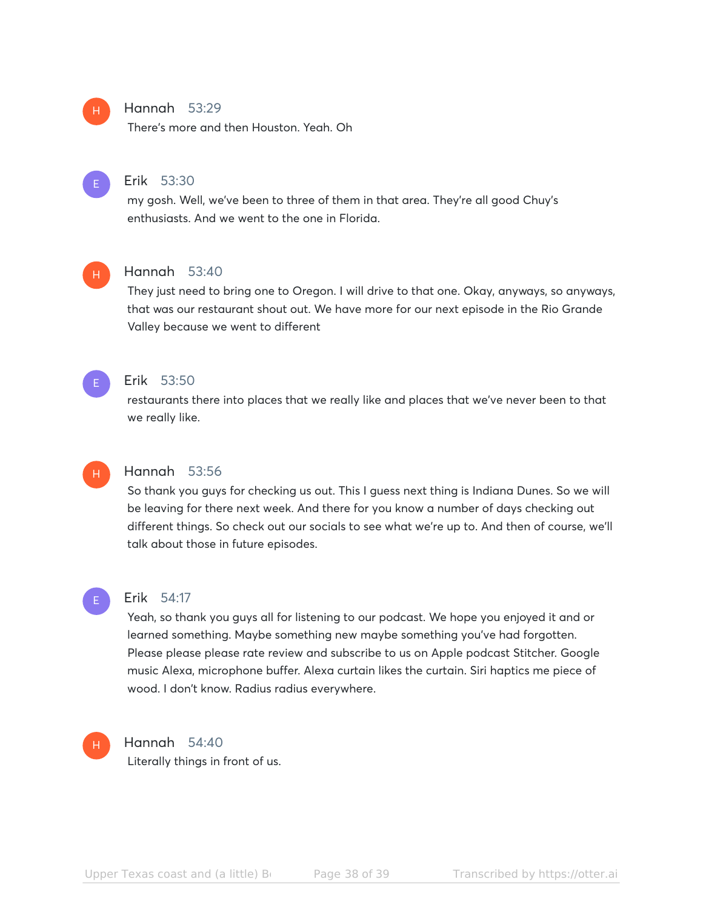#### Hannah 53:29

There's more and then Houston. Yeah. Oh

## E

H

#### Erik 53:30

my gosh. Well, we've been to three of them in that area. They're all good Chuy's enthusiasts. And we went to the one in Florida.



#### Hannah 53:40

They just need to bring one to Oregon. I will drive to that one. Okay, anyways, so anyways, that was our restaurant shout out. We have more for our next episode in the Rio Grande Valley because we went to different



H

#### Erik 53:50

restaurants there into places that we really like and places that we've never been to that we really like.

#### Hannah 53:56

So thank you guys for checking us out. This I guess next thing is Indiana Dunes. So we will be leaving for there next week. And there for you know a number of days checking out different things. So check out our socials to see what we're up to. And then of course, we'll talk about those in future episodes.



#### Erik 54:17

Yeah, so thank you guys all for listening to our podcast. We hope you enjoyed it and or learned something. Maybe something new maybe something you've had forgotten. Please please please rate review and subscribe to us on Apple podcast Stitcher. Google music Alexa, microphone buffer. Alexa curtain likes the curtain. Siri haptics me piece of wood. I don't know. Radius radius everywhere.



#### Hannah 54:40

Literally things in front of us.